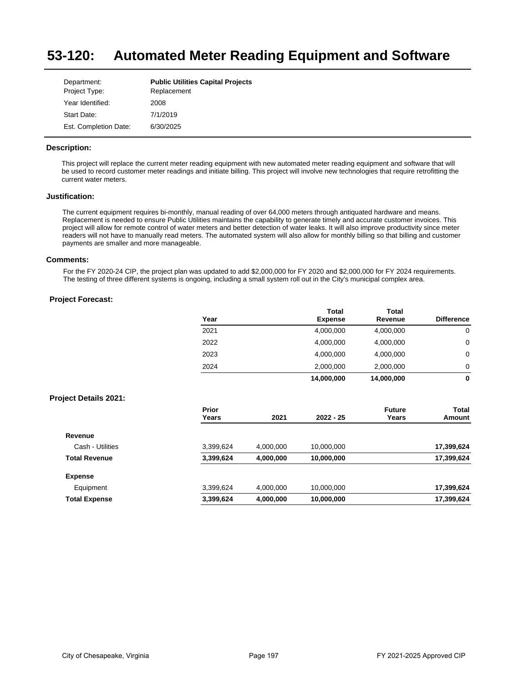#### **53-120: Automated Meter Reading Equipment and Software**

| Department:           | <b>Public Utilities Capital Projects</b> |
|-----------------------|------------------------------------------|
| Project Type:         | Replacement                              |
| Year Identified:      | 2008                                     |
| Start Date:           | 7/1/2019                                 |
| Est. Completion Date: | 6/30/2025                                |

### **Description:**

This project will replace the current meter reading equipment with new automated meter reading equipment and software that will be used to record customer meter readings and initiate billing. This project will involve new technologies that require retrofitting the current water meters.

## **Justification:**

The current equipment requires bi-monthly, manual reading of over 64,000 meters through antiquated hardware and means. Replacement is needed to ensure Public Utilities maintains the capability to generate timely and accurate customer invoices. This project will allow for remote control of water meters and better detection of water leaks. It will also improve productivity since meter readers will not have to manually read meters. The automated system will also allow for monthly billing so that billing and customer payments are smaller and more manageable.

#### **Comments:**

For the FY 2020-24 CIP, the project plan was updated to add \$2,000,000 for FY 2020 and \$2,000,000 for FY 2024 requirements. The testing of three different systems is ongoing, including a small system roll out in the City's municipal complex area.

## **Project Forecast:**

|      | <b>Total</b>   | <b>Total</b> |                   |
|------|----------------|--------------|-------------------|
| Year | <b>Expense</b> | Revenue      | <b>Difference</b> |
| 2021 | 4,000,000      | 4,000,000    | 0                 |
| 2022 | 4,000,000      | 4,000,000    | 0                 |
| 2023 | 4,000,000      | 4,000,000    | 0                 |
| 2024 | 2,000,000      | 2,000,000    | 0                 |
|      | 14,000,000     | 14,000,000   | 0                 |

|                      | Prior<br>Years | 2021      | $2022 - 25$ | <b>Future</b><br>Years | Total<br>Amount |
|----------------------|----------------|-----------|-------------|------------------------|-----------------|
| Revenue              |                |           |             |                        |                 |
| Cash - Utilities     | 3,399,624      | 4,000,000 | 10,000,000  |                        | 17,399,624      |
| <b>Total Revenue</b> | 3,399,624      | 4,000,000 | 10,000,000  |                        | 17,399,624      |
| <b>Expense</b>       |                |           |             |                        |                 |
| Equipment            | 3,399,624      | 4,000,000 | 10.000.000  |                        | 17,399,624      |
| <b>Total Expense</b> | 3,399,624      | 4,000,000 | 10,000,000  |                        | 17,399,624      |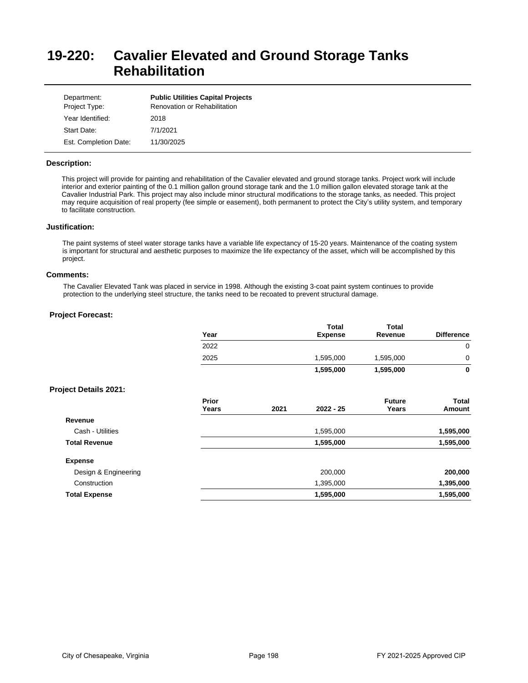# **19-220: Cavalier Elevated and Ground Storage Tanks Rehabilitation**

| Department:<br>Project Type: | <b>Public Utilities Capital Projects</b><br>Renovation or Rehabilitation |
|------------------------------|--------------------------------------------------------------------------|
| Year Identified:             | 2018                                                                     |
| Start Date:                  | 7/1/2021                                                                 |
| Est. Completion Date:        | 11/30/2025                                                               |

### **Description:**

This project will provide for painting and rehabilitation of the Cavalier elevated and ground storage tanks. Project work will include interior and exterior painting of the 0.1 million gallon ground storage tank and the 1.0 million gallon elevated storage tank at the Cavalier Industrial Park. This project may also include minor structural modifications to the storage tanks, as needed. This project may require acquisition of real property (fee simple or easement), both permanent to protect the City's utility system, and temporary to facilitate construction.

#### **Justification:**

The paint systems of steel water storage tanks have a variable life expectancy of 15-20 years. Maintenance of the coating system is important for structural and aesthetic purposes to maximize the life expectancy of the asset, which will be accomplished by this project.

#### **Comments:**

The Cavalier Elevated Tank was placed in service in 1998. Although the existing 3-coat paint system continues to provide protection to the underlying steel structure, the tanks need to be recoated to prevent structural damage.

|                              | Year           |      | <b>Total</b><br><b>Expense</b> | <b>Total</b><br>Revenue | <b>Difference</b>      |
|------------------------------|----------------|------|--------------------------------|-------------------------|------------------------|
|                              | 2022           |      |                                |                         | $\overline{0}$         |
|                              | 2025           |      | 1,595,000                      | 1,595,000               | 0                      |
|                              |                |      | 1,595,000                      | 1,595,000               | 0                      |
| <b>Project Details 2021:</b> |                |      |                                |                         |                        |
|                              | Prior<br>Years | 2021 | $2022 - 25$                    | <b>Future</b><br>Years  | <b>Total</b><br>Amount |
| Revenue                      |                |      |                                |                         |                        |
| Cash - Utilities             |                |      | 1,595,000                      |                         | 1,595,000              |
| <b>Total Revenue</b>         |                |      | 1,595,000                      |                         | 1,595,000              |
| <b>Expense</b>               |                |      |                                |                         |                        |
| Design & Engineering         |                |      | 200,000                        |                         | 200,000                |
| Construction                 |                |      | 1,395,000                      |                         | 1,395,000              |
| <b>Total Expense</b>         |                |      | 1,595,000                      |                         | 1,595,000              |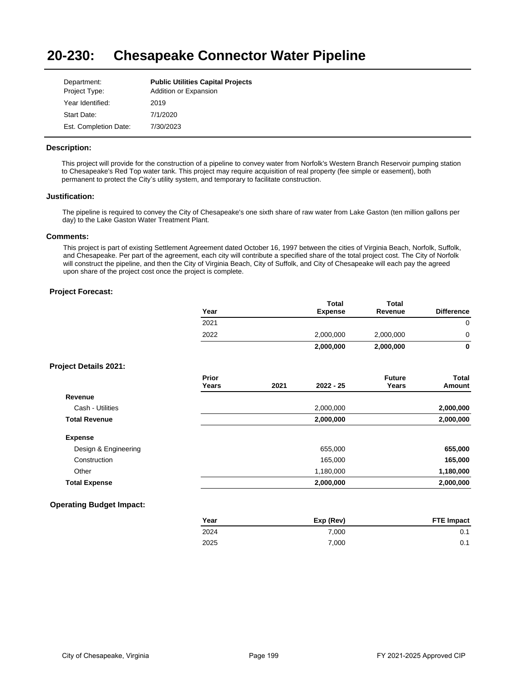#### **20-230: Chesapeake Connector Water Pipeline**

| Department:           | <b>Public Utilities Capital Projects</b> |
|-----------------------|------------------------------------------|
| Project Type:         | Addition or Expansion                    |
| Year Identified:      | 2019                                     |
| Start Date:           | 7/1/2020                                 |
| Est. Completion Date: | 7/30/2023                                |

## **Description:**

This project will provide for the construction of a pipeline to convey water from Norfolk's Western Branch Reservoir pumping station to Chesapeake's Red Top water tank. This project may require acquisition of real property (fee simple or easement), both permanent to protect the City's utility system, and temporary to facilitate construction.

### **Justification:**

The pipeline is required to convey the City of Chesapeake's one sixth share of raw water from Lake Gaston (ten million gallons per day) to the Lake Gaston Water Treatment Plant.

### **Comments:**

This project is part of existing Settlement Agreement dated October 16, 1997 between the cities of Virginia Beach, Norfolk, Suffolk, and Chesapeake. Per part of the agreement, each city will contribute a specified share of the total project cost. The City of Norfolk will construct the pipeline, and then the City of Virginia Beach, City of Suffolk, and City of Chesapeake will each pay the agreed upon share of the project cost once the project is complete.

|                                 | Year           |      | <b>Total</b><br><b>Expense</b> | <b>Total</b><br>Revenue | <b>Difference</b>      |
|---------------------------------|----------------|------|--------------------------------|-------------------------|------------------------|
|                                 | 2021           |      |                                |                         | $\mathbf 0$            |
|                                 | 2022           |      | 2,000,000                      | 2,000,000               | 0                      |
|                                 |                |      | 2,000,000                      | 2,000,000               | $\mathbf{0}$           |
| <b>Project Details 2021:</b>    |                |      |                                |                         |                        |
|                                 | Prior<br>Years | 2021 | 2022 - 25                      | <b>Future</b><br>Years  | <b>Total</b><br>Amount |
| Revenue                         |                |      |                                |                         |                        |
| Cash - Utilities                |                |      | 2,000,000                      |                         | 2,000,000              |
| <b>Total Revenue</b>            |                |      | 2,000,000                      |                         | 2,000,000              |
| <b>Expense</b>                  |                |      |                                |                         |                        |
| Design & Engineering            |                |      | 655,000                        |                         | 655,000                |
| Construction                    |                |      | 165,000                        |                         | 165,000                |
| Other                           |                |      | 1,180,000                      |                         | 1,180,000              |
| <b>Total Expense</b>            |                |      | 2,000,000                      |                         | 2,000,000              |
| <b>Operating Budget Impact:</b> |                |      |                                |                         |                        |

| Year | Exp (Rev) | <b>FTE Impact</b> |
|------|-----------|-------------------|
| 2024 | 7.000     | 0.1               |
| 2025 | 7.000     | 0.1               |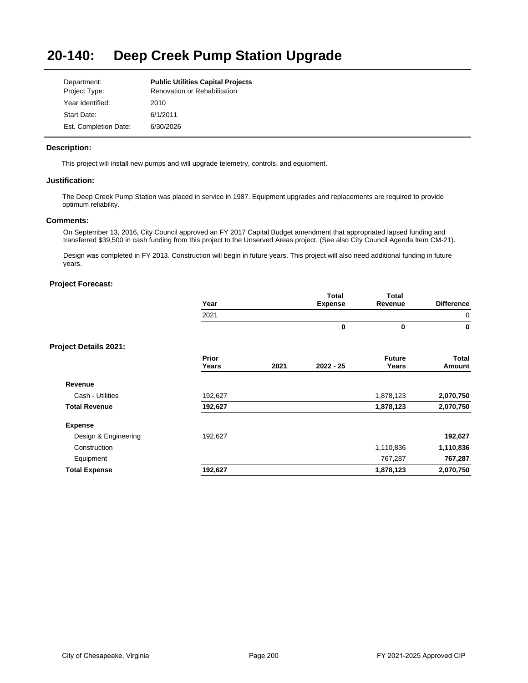#### **20-140: Deep Creek Pump Station Upgrade**

| Department:           | <b>Public Utilities Capital Projects</b> |
|-----------------------|------------------------------------------|
| Project Type:         | Renovation or Rehabilitation             |
| Year Identified:      | 2010                                     |
| Start Date:           | 6/1/2011                                 |
| Est. Completion Date: | 6/30/2026                                |

### **Description:**

This project will install new pumps and will upgrade telemetry, controls, and equipment.

## **Justification:**

The Deep Creek Pump Station was placed in service in 1987. Equipment upgrades and replacements are required to provide optimum reliability.

### **Comments:**

On September 13, 2016, City Council approved an FY 2017 Capital Budget amendment that appropriated lapsed funding and transferred \$39,500 in cash funding from this project to the Unserved Areas project. (See also City Council Agenda Item CM-21).

Design was completed in FY 2013. Construction will begin in future years. This project will also need additional funding in future years.

| Year    |       |                |               |                   |
|---------|-------|----------------|---------------|-------------------|
|         |       | <b>Expense</b> | Revenue       | <b>Difference</b> |
| 2021    |       |                |               | $\mathbf 0$       |
|         |       | $\bf{0}$       | $\mathbf 0$   | $\mathbf 0$       |
|         |       |                |               |                   |
| Prior   |       |                | <b>Future</b> | Total             |
|         |       |                |               | Amount            |
|         |       |                |               |                   |
| 192,627 |       |                | 1,878,123     | 2,070,750         |
| 192,627 |       |                | 1,878,123     | 2,070,750         |
|         |       |                |               |                   |
| 192,627 |       |                |               | 192,627           |
|         |       |                | 1,110,836     | 1,110,836         |
|         |       |                | 767,287       | 767,287           |
| 192,627 |       |                | 1,878,123     | 2,070,750         |
|         | Years | 2021           | $2022 - 25$   | Years             |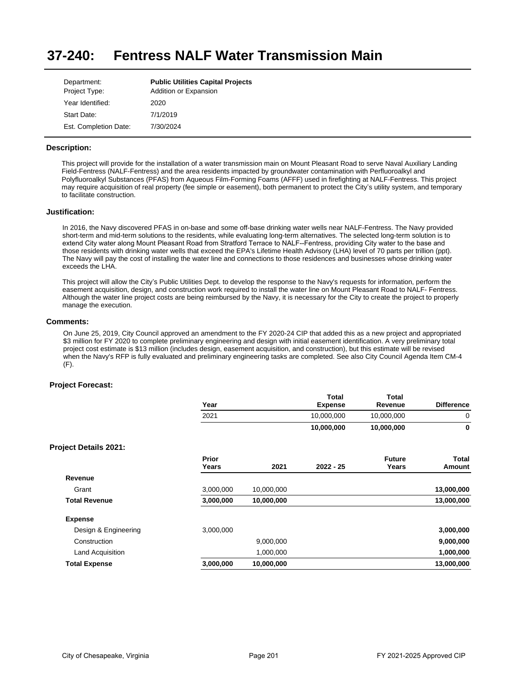#### **37-240: Fentress NALF Water Transmission Main**

| Department:<br>Project Type: | <b>Public Utilities Capital Projects</b><br>Addition or Expansion |
|------------------------------|-------------------------------------------------------------------|
| Year Identified:             | 2020                                                              |
| Start Date:                  | 7/1/2019                                                          |
| Est. Completion Date:        | 7/30/2024                                                         |

### **Description:**

This project will provide for the installation of a water transmission main on Mount Pleasant Road to serve Naval Auxiliary Landing Field-Fentress (NALF-Fentress) and the area residents impacted by groundwater contamination with Perfluoroalkyl and Polyfluoroalkyl Substances (PFAS) from Aqueous Film-Forming Foams (AFFF) used in firefighting at NALF-Fentress. This project may require acquisition of real property (fee simple or easement), both permanent to protect the City's utility system, and temporary to facilitate construction.

### **Justification:**

In 2016, the Navy discovered PFAS in on-base and some off-base drinking water wells near NALF-Fentress. The Navy provided short-term and mid-term solutions to the residents, while evaluating long-term alternatives. The selected long-term solution is to extend City water along Mount Pleasant Road from Stratford Terrace to NALF--Fentress, providing City water to the base and those residents with drinking water wells that exceed the EPA's Lifetime Health Advisory (LHA) level of 70 parts per trillion (ppt). The Navy will pay the cost of installing the water line and connections to those residences and businesses whose drinking water exceeds the LHA.

This project will allow the City's Public Utilities Dept. to develop the response to the Navy's requests for information, perform the easement acquisition, design, and construction work required to install the water line on Mount Pleasant Road to NALF- Fentress. Although the water line project costs are being reimbursed by the Navy, it is necessary for the City to create the project to properly manage the execution.

#### **Comments:**

On June 25, 2019, City Council approved an amendment to the FY 2020-24 CIP that added this as a new project and appropriated \$3 million for FY 2020 to complete preliminary engineering and design with initial easement identification. A very preliminary total project cost estimate is \$13 million (includes design, easement acquisition, and construction), but this estimate will be revised when the Navy's RFP is fully evaluated and preliminary engineering tasks are completed. See also City Council Agenda Item CM-4 (F).

|                              | Year           |            | Total<br><b>Expense</b> | <b>Total</b><br>Revenue | <b>Difference</b> |
|------------------------------|----------------|------------|-------------------------|-------------------------|-------------------|
|                              | 2021           |            | 10,000,000              | 10,000,000              | 0                 |
|                              |                |            | 10,000,000              | 10,000,000              | 0                 |
| <b>Project Details 2021:</b> |                |            |                         |                         |                   |
|                              | Prior<br>Years | 2021       | $2022 - 25$             | <b>Future</b><br>Years  | Total<br>Amount   |
| Revenue                      |                |            |                         |                         |                   |
| Grant                        | 3,000,000      | 10,000,000 |                         |                         | 13,000,000        |
| <b>Total Revenue</b>         | 3,000,000      | 10,000,000 |                         |                         | 13,000,000        |
| <b>Expense</b>               |                |            |                         |                         |                   |
| Design & Engineering         | 3,000,000      |            |                         |                         | 3,000,000         |
| Construction                 |                | 9,000,000  |                         |                         | 9,000,000         |
| Land Acquisition             |                | 1,000,000  |                         |                         | 1,000,000         |
| <b>Total Expense</b>         | 3,000,000      | 10,000,000 |                         |                         | 13,000,000        |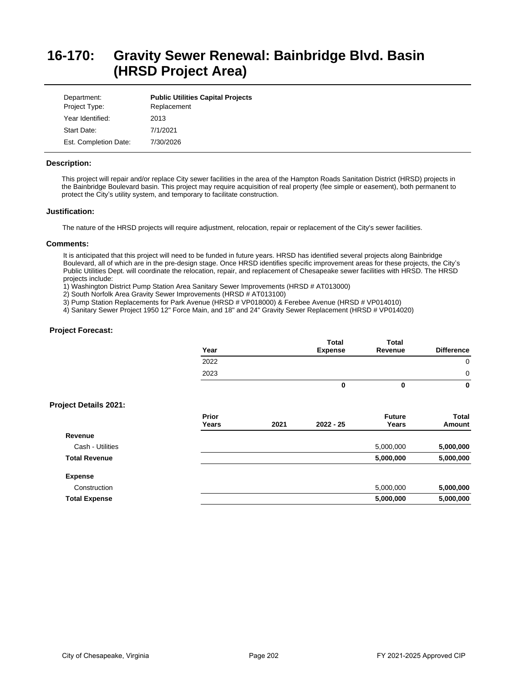# **16-170: Gravity Sewer Renewal: Bainbridge Blvd. Basin (HRSD Project Area)**

| Department:<br>Project Type: | <b>Public Utilities Capital Projects</b><br>Replacement |
|------------------------------|---------------------------------------------------------|
| Year Identified:             | 2013                                                    |
| Start Date:                  | 7/1/2021                                                |
| Est. Completion Date:        | 7/30/2026                                               |

### **Description:**

This project will repair and/or replace City sewer facilities in the area of the Hampton Roads Sanitation District (HRSD) projects in the Bainbridge Boulevard basin. This project may require acquisition of real property (fee simple or easement), both permanent to protect the City's utility system, and temporary to facilitate construction.

### **Justification:**

The nature of the HRSD projects will require adjustment, relocation, repair or replacement of the City's sewer facilities.

#### **Comments:**

It is anticipated that this project will need to be funded in future years. HRSD has identified several projects along Bainbridge Boulevard, all of which are in the pre-design stage. Once HRSD identifies specific improvement areas for these projects, the City's Public Utilities Dept. will coordinate the relocation, repair, and replacement of Chesapeake sewer facilities with HRSD. The HRSD projects include:

1) Washington District Pump Station Area Sanitary Sewer Improvements (HRSD # AT013000)

2) South Norfolk Area Gravity Sewer Improvements (HRSD # AT013100)

3) Pump Station Replacements for Park Avenue (HRSD # VP018000) & Ferebee Avenue (HRSD # VP014010)

4) Sanitary Sewer Project 1950 12" Force Main, and 18" and 24" Gravity Sewer Replacement (HRSD # VP014020)

|                              | Year           |      | <b>Total</b><br><b>Expense</b> | <b>Total</b><br>Revenue | <b>Difference</b> |
|------------------------------|----------------|------|--------------------------------|-------------------------|-------------------|
|                              | 2022           |      |                                |                         | 0                 |
|                              | 2023           |      |                                |                         | 0                 |
|                              |                |      | 0                              | 0                       | 0                 |
| <b>Project Details 2021:</b> |                |      |                                |                         |                   |
|                              | Prior<br>Years | 2021 | $2022 - 25$                    | <b>Future</b><br>Years  | Total<br>Amount   |
| Revenue                      |                |      |                                |                         |                   |
| Cash - Utilities             |                |      |                                | 5,000,000               | 5,000,000         |
| <b>Total Revenue</b>         |                |      |                                | 5,000,000               | 5,000,000         |
| <b>Expense</b>               |                |      |                                |                         |                   |
| Construction                 |                |      |                                | 5,000,000               | 5,000,000         |
| <b>Total Expense</b>         |                |      |                                | 5,000,000               | 5,000,000         |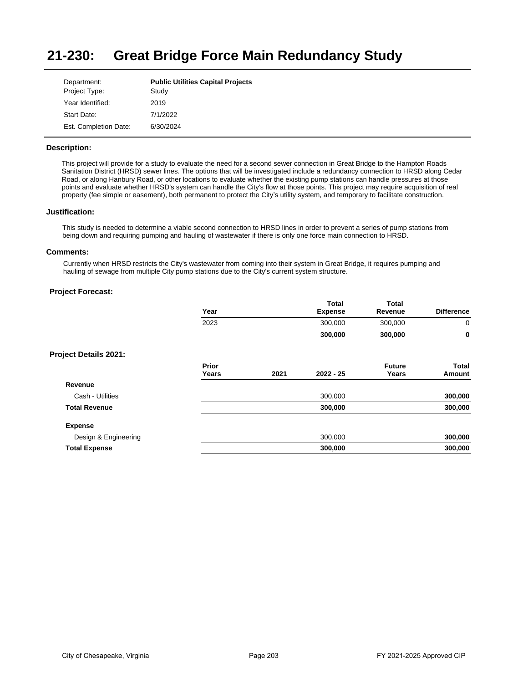#### **21-230: Great Bridge Force Main Redundancy Study**

| Department:           | <b>Public Utilities Capital Projects</b> |
|-----------------------|------------------------------------------|
| Project Type:         | Study                                    |
| Year Identified:      | 2019                                     |
| Start Date:           | 7/1/2022                                 |
| Est. Completion Date: | 6/30/2024                                |

### **Description:**

This project will provide for a study to evaluate the need for a second sewer connection in Great Bridge to the Hampton Roads Sanitation District (HRSD) sewer lines. The options that will be investigated include a redundancy connection to HRSD along Cedar Road, or along Hanbury Road, or other locations to evaluate whether the existing pump stations can handle pressures at those points and evaluate whether HRSD's system can handle the City's flow at those points. This project may require acquisition of real property (fee simple or easement), both permanent to protect the City's utility system, and temporary to facilitate construction.

### **Justification:**

This study is needed to determine a viable second connection to HRSD lines in order to prevent a series of pump stations from being down and requiring pumping and hauling of wastewater if there is only one force main connection to HRSD.

#### **Comments:**

Currently when HRSD restricts the City's wastewater from coming into their system in Great Bridge, it requires pumping and hauling of sewage from multiple City pump stations due to the City's current system structure.

|                              | Year           |      | <b>Total</b><br><b>Expense</b> | <b>Total</b><br>Revenue | <b>Difference</b>      |
|------------------------------|----------------|------|--------------------------------|-------------------------|------------------------|
|                              | 2023           |      | 300,000                        | 300,000                 | 0                      |
|                              |                |      | 300,000                        | 300,000                 | 0                      |
| <b>Project Details 2021:</b> |                |      |                                |                         |                        |
|                              | Prior<br>Years | 2021 | $2022 - 25$                    | <b>Future</b><br>Years  | <b>Total</b><br>Amount |
| Revenue                      |                |      |                                |                         |                        |
| Cash - Utilities             |                |      | 300,000                        |                         | 300,000                |
| <b>Total Revenue</b>         |                |      | 300,000                        |                         | 300,000                |
| <b>Expense</b>               |                |      |                                |                         |                        |
| Design & Engineering         |                |      | 300,000                        |                         | 300,000                |
| <b>Total Expense</b>         |                |      | 300,000                        |                         | 300,000                |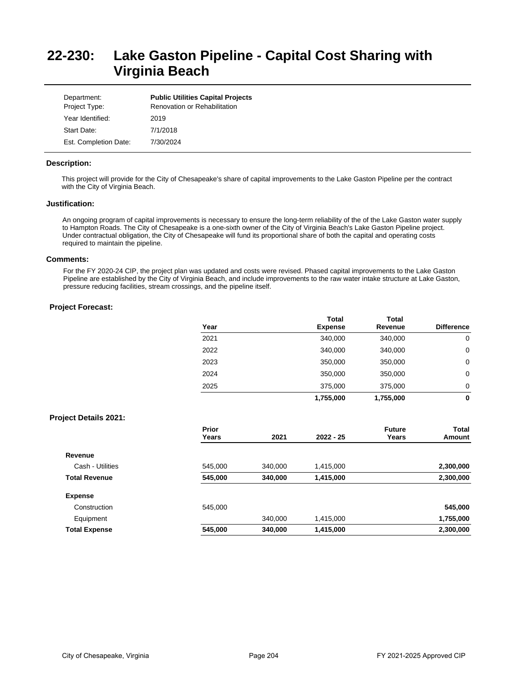# **22-230: Lake Gaston Pipeline - Capital Cost Sharing with Virginia Beach**

| Department:<br>Project Type: | <b>Public Utilities Capital Projects</b><br><b>Renovation or Rehabilitation</b> |
|------------------------------|---------------------------------------------------------------------------------|
| Year Identified:             | 2019                                                                            |
| Start Date:                  | 7/1/2018                                                                        |
| Est. Completion Date:        | 7/30/2024                                                                       |

### **Description:**

This project will provide for the City of Chesapeake's share of capital improvements to the Lake Gaston Pipeline per the contract with the City of Virginia Beach.

# **Justification:**

An ongoing program of capital improvements is necessary to ensure the long-term reliability of the of the Lake Gaston water supply to Hampton Roads. The City of Chesapeake is a one-sixth owner of the City of Virginia Beach's Lake Gaston Pipeline project. Under contractual obligation, the City of Chesapeake will fund its proportional share of both the capital and operating costs required to maintain the pipeline.

#### **Comments:**

For the FY 2020-24 CIP, the project plan was updated and costs were revised. Phased capital improvements to the Lake Gaston Pipeline are established by the City of Virginia Beach, and include improvements to the raw water intake structure at Lake Gaston, pressure reducing facilities, stream crossings, and the pipeline itself.

## **Project Forecast:**

|      | Total          | Total     |                   |
|------|----------------|-----------|-------------------|
| Year | <b>Expense</b> | Revenue   | <b>Difference</b> |
| 2021 | 340,000        | 340,000   | 0                 |
| 2022 | 340,000        | 340,000   | 0                 |
| 2023 | 350,000        | 350,000   | 0                 |
| 2024 | 350,000        | 350,000   | 0                 |
| 2025 | 375,000        | 375,000   | 0                 |
|      | 1,755,000      | 1,755,000 | 0                 |

|                      | Prior   |         |             | <b>Future</b> | Total     |
|----------------------|---------|---------|-------------|---------------|-----------|
|                      | Years   | 2021    | $2022 - 25$ | Years         | Amount    |
| Revenue              |         |         |             |               |           |
| Cash - Utilities     | 545,000 | 340,000 | 1,415,000   |               | 2,300,000 |
| <b>Total Revenue</b> | 545,000 | 340,000 | 1,415,000   |               | 2,300,000 |
| <b>Expense</b>       |         |         |             |               |           |
| Construction         | 545,000 |         |             |               | 545,000   |
| Equipment            |         | 340.000 | 1,415,000   |               | 1,755,000 |
| <b>Total Expense</b> | 545,000 | 340,000 | 1,415,000   |               | 2,300,000 |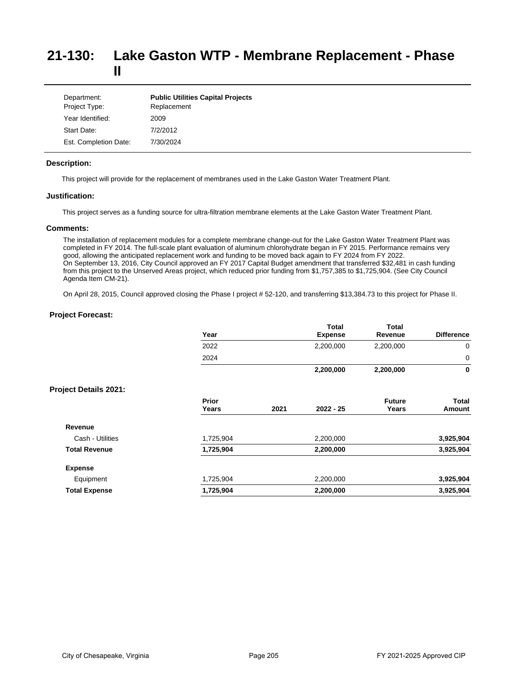## **21-130: Lake Gaston WTP - Membrane Replacement - Phase II**

| Department:<br>Project Type: | <b>Public Utilities Capital Projects</b><br>Replacement |
|------------------------------|---------------------------------------------------------|
| Year Identified:             | 2009                                                    |
| Start Date:                  | 7/2/2012                                                |
| Est. Completion Date:        | 7/30/2024                                               |

### **Description:**

This project will provide for the replacement of membranes used in the Lake Gaston Water Treatment Plant.

## **Justification:**

This project serves as a funding source for ultra-filtration membrane elements at the Lake Gaston Water Treatment Plant.

### **Comments:**

The installation of replacement modules for a complete membrane change-out for the Lake Gaston Water Treatment Plant was completed in FY 2014. The full-scale plant evaluation of aluminum chlorohydrate began in FY 2015. Performance remains very good, allowing the anticipated replacement work and funding to be moved back again to FY 2024 from FY 2022. On September 13, 2016, City Council approved an FY 2017 Capital Budget amendment that transferred \$32,481 in cash funding from this project to the Unserved Areas project, which reduced prior funding from \$1,757,385 to \$1,725,904. (See City Council Agenda Item CM-21).

On April 28, 2015, Council approved closing the Phase I project # 52-120, and transferring \$13,384.73 to this project for Phase II.

|                              | Year           |      | <b>Total</b><br><b>Expense</b> | <b>Total</b><br>Revenue | <b>Difference</b> |
|------------------------------|----------------|------|--------------------------------|-------------------------|-------------------|
|                              | 2022           |      | 2,200,000                      | 2,200,000               | 0                 |
|                              | 2024           |      |                                |                         | 0                 |
|                              |                |      | 2,200,000                      | 2,200,000               | 0                 |
| <b>Project Details 2021:</b> |                |      |                                |                         |                   |
|                              | Prior<br>Years | 2021 | 2022 - 25                      | <b>Future</b><br>Years  | Total<br>Amount   |
| Revenue                      |                |      |                                |                         |                   |
| Cash - Utilities             | 1,725,904      |      | 2,200,000                      |                         | 3,925,904         |
| <b>Total Revenue</b>         | 1,725,904      |      | 2,200,000                      |                         | 3,925,904         |
| <b>Expense</b>               |                |      |                                |                         |                   |
| Equipment                    | 1,725,904      |      | 2,200,000                      |                         | 3,925,904         |
| <b>Total Expense</b>         | 1,725,904      |      | 2,200,000                      |                         | 3,925,904         |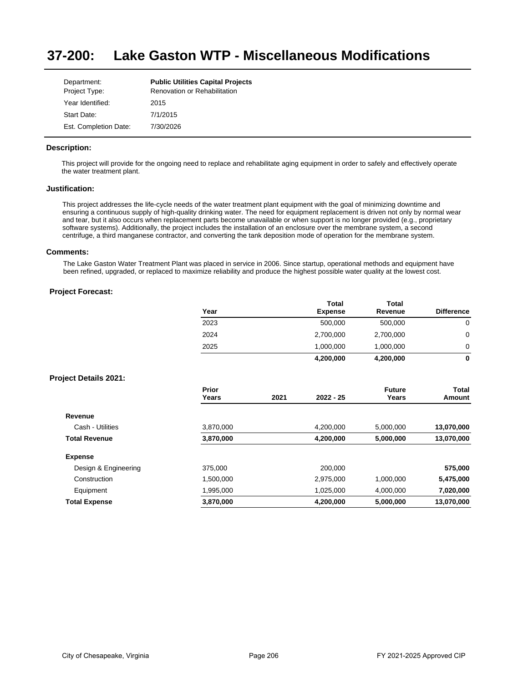#### **37-200: Lake Gaston WTP - Miscellaneous Modifications**

| Department:           | <b>Public Utilities Capital Projects</b> |
|-----------------------|------------------------------------------|
| Project Type:         | <b>Renovation or Rehabilitation</b>      |
| Year Identified:      | 2015                                     |
| Start Date:           | 7/1/2015                                 |
| Est. Completion Date: | 7/30/2026                                |

### **Description:**

This project will provide for the ongoing need to replace and rehabilitate aging equipment in order to safely and effectively operate the water treatment plant.

### **Justification:**

This project addresses the life-cycle needs of the water treatment plant equipment with the goal of minimizing downtime and ensuring a continuous supply of high-quality drinking water. The need for equipment replacement is driven not only by normal wear and tear, but it also occurs when replacement parts become unavailable or when support is no longer provided (e.g., proprietary software systems). Additionally, the project includes the installation of an enclosure over the membrane system, a second centrifuge, a third manganese contractor, and converting the tank deposition mode of operation for the membrane system.

#### **Comments:**

The Lake Gaston Water Treatment Plant was placed in service in 2006. Since startup, operational methods and equipment have been refined, upgraded, or replaced to maximize reliability and produce the highest possible water quality at the lowest cost.

|                              | Year           |      | <b>Total</b><br><b>Expense</b> | <b>Total</b><br>Revenue | <b>Difference</b>      |
|------------------------------|----------------|------|--------------------------------|-------------------------|------------------------|
|                              | 2023           |      | 500,000                        | 500,000                 | 0                      |
|                              | 2024           |      | 2,700,000                      | 2,700,000               | 0                      |
|                              | 2025           |      | 1,000,000                      | 1,000,000               | 0                      |
|                              |                |      | 4,200,000                      | 4,200,000               | $\mathbf 0$            |
| <b>Project Details 2021:</b> |                |      |                                |                         |                        |
|                              | Prior<br>Years | 2021 | 2022 - 25                      | <b>Future</b><br>Years  | <b>Total</b><br>Amount |
| Revenue                      |                |      |                                |                         |                        |
| Cash - Utilities             | 3,870,000      |      | 4,200,000                      | 5,000,000               | 13,070,000             |
| <b>Total Revenue</b>         | 3,870,000      |      | 4,200,000                      | 5,000,000               | 13,070,000             |
| <b>Expense</b>               |                |      |                                |                         |                        |
| Design & Engineering         | 375,000        |      | 200,000                        |                         | 575,000                |
| Construction                 | 1,500,000      |      | 2,975,000                      | 1,000,000               | 5,475,000              |
| Equipment                    | 1,995,000      |      | 1,025,000                      | 4,000,000               | 7,020,000              |
| <b>Total Expense</b>         | 3,870,000      |      | 4,200,000                      | 5,000,000               | 13,070,000             |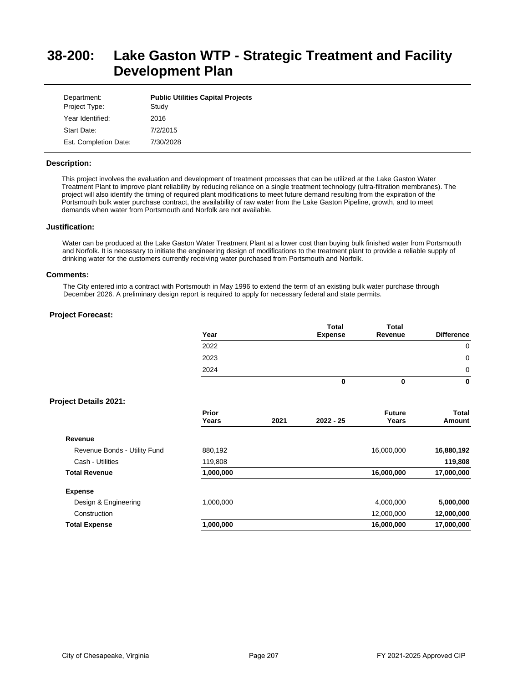# **38-200: Lake Gaston WTP - Strategic Treatment and Facility Development Plan**

| Department:<br>Project Type: | <b>Public Utilities Capital Projects</b><br>Study |
|------------------------------|---------------------------------------------------|
| Year Identified:             | 2016                                              |
| Start Date:                  | 7/2/2015                                          |
| Est. Completion Date:        | 7/30/2028                                         |

### **Description:**

This project involves the evaluation and development of treatment processes that can be utilized at the Lake Gaston Water Treatment Plant to improve plant reliability by reducing reliance on a single treatment technology (ultra-filtration membranes). The project will also identify the timing of required plant modifications to meet future demand resulting from the expiration of the Portsmouth bulk water purchase contract, the availability of raw water from the Lake Gaston Pipeline, growth, and to meet demands when water from Portsmouth and Norfolk are not available.

### **Justification:**

Water can be produced at the Lake Gaston Water Treatment Plant at a lower cost than buying bulk finished water from Portsmouth and Norfolk. It is necessary to initiate the engineering design of modifications to the treatment plant to provide a reliable supply of drinking water for the customers currently receiving water purchased from Portsmouth and Norfolk.

#### **Comments:**

The City entered into a contract with Portsmouth in May 1996 to extend the term of an existing bulk water purchase through December 2026. A preliminary design report is required to apply for necessary federal and state permits.

### **Project Forecast:**

| Year | <b>Total</b><br><b>Expense</b> | <b>Total</b><br>Revenue | <b>Difference</b> |
|------|--------------------------------|-------------------------|-------------------|
| 2022 |                                |                         | 0                 |
| 2023 |                                |                         | 0                 |
| 2024 |                                |                         | 0                 |
|      | O                              |                         | 0                 |

|                              | Prior<br>Years | 2021 | $2022 - 25$ | <b>Future</b><br>Years | Total<br>Amount |
|------------------------------|----------------|------|-------------|------------------------|-----------------|
| Revenue                      |                |      |             |                        |                 |
| Revenue Bonds - Utility Fund | 880,192        |      |             | 16,000,000             | 16,880,192      |
| Cash - Utilities             | 119,808        |      |             |                        | 119,808         |
| <b>Total Revenue</b>         | 1,000,000      |      |             | 16,000,000             | 17,000,000      |
| <b>Expense</b>               |                |      |             |                        |                 |
| Design & Engineering         | 1.000.000      |      |             | 4.000.000              | 5,000,000       |
| Construction                 |                |      |             | 12,000,000             | 12,000,000      |
| <b>Total Expense</b>         | 1,000,000      |      |             | 16,000,000             | 17,000,000      |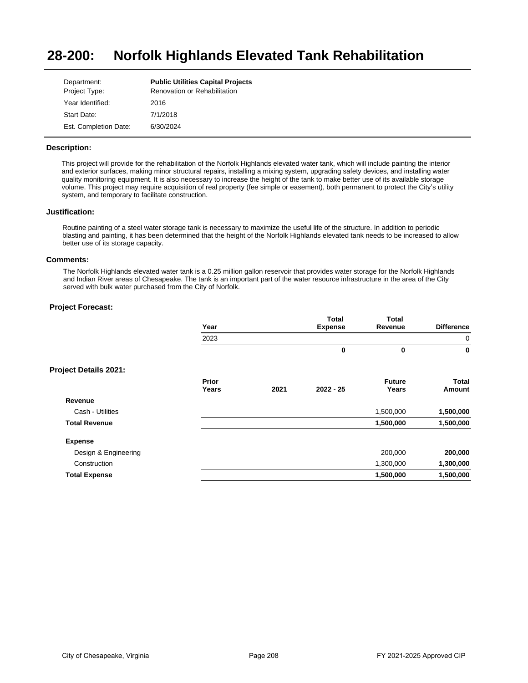#### **28-200: Norfolk Highlands Elevated Tank Rehabilitation**

| Department:           | <b>Public Utilities Capital Projects</b> |
|-----------------------|------------------------------------------|
| Project Type:         | Renovation or Rehabilitation             |
| Year Identified:      | 2016                                     |
| Start Date:           | 7/1/2018                                 |
| Est. Completion Date: | 6/30/2024                                |

### **Description:**

This project will provide for the rehabilitation of the Norfolk Highlands elevated water tank, which will include painting the interior and exterior surfaces, making minor structural repairs, installing a mixing system, upgrading safety devices, and installing water quality monitoring equipment. It is also necessary to increase the height of the tank to make better use of its available storage volume. This project may require acquisition of real property (fee simple or easement), both permanent to protect the City's utility system, and temporary to facilitate construction.

#### **Justification:**

Routine painting of a steel water storage tank is necessary to maximize the useful life of the structure. In addition to periodic blasting and painting, it has been determined that the height of the Norfolk Highlands elevated tank needs to be increased to allow better use of its storage capacity.

#### **Comments:**

The Norfolk Highlands elevated water tank is a 0.25 million gallon reservoir that provides water storage for the Norfolk Highlands and Indian River areas of Chesapeake. The tank is an important part of the water resource infrastructure in the area of the City served with bulk water purchased from the City of Norfolk.

|                              | Year           |      | <b>Total</b><br><b>Expense</b> | <b>Total</b><br>Revenue | <b>Difference</b> |
|------------------------------|----------------|------|--------------------------------|-------------------------|-------------------|
|                              | 2023           |      |                                |                         | 0                 |
|                              |                |      | 0                              | 0                       | 0                 |
| <b>Project Details 2021:</b> |                |      |                                |                         |                   |
|                              | Prior<br>Years | 2021 | $2022 - 25$                    | <b>Future</b><br>Years  | Total<br>Amount   |
| Revenue                      |                |      |                                |                         |                   |
| Cash - Utilities             |                |      |                                | 1,500,000               | 1,500,000         |
| <b>Total Revenue</b>         |                |      |                                | 1,500,000               | 1,500,000         |
| <b>Expense</b>               |                |      |                                |                         |                   |
| Design & Engineering         |                |      |                                | 200,000                 | 200,000           |
| Construction                 |                |      |                                | 1,300,000               | 1,300,000         |
| <b>Total Expense</b>         |                |      |                                | 1,500,000               | 1,500,000         |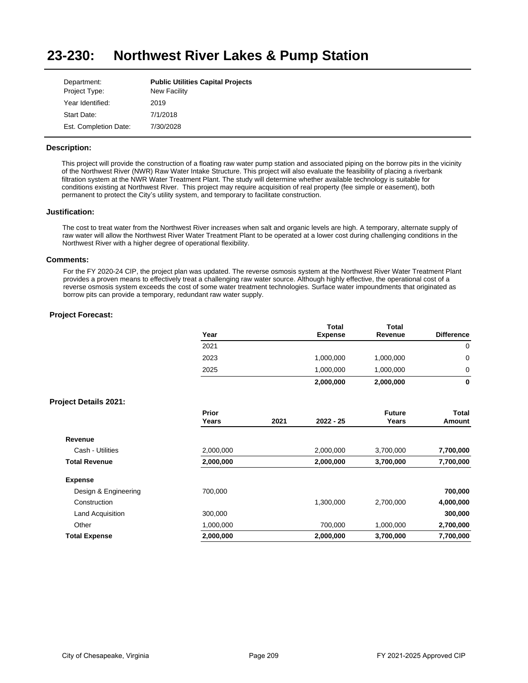#### **23-230: Northwest River Lakes & Pump Station**

| Department:           | <b>Public Utilities Capital Projects</b> |
|-----------------------|------------------------------------------|
| Project Type:         | <b>New Facility</b>                      |
| Year Identified:      | 2019                                     |
| Start Date:           | 7/1/2018                                 |
| Est. Completion Date: | 7/30/2028                                |

### **Description:**

This project will provide the construction of a floating raw water pump station and associated piping on the borrow pits in the vicinity of the Northwest River (NWR) Raw Water Intake Structure. This project will also evaluate the feasibility of placing a riverbank filtration system at the NWR Water Treatment Plant. The study will determine whether available technology is suitable for conditions existing at Northwest River. This project may require acquisition of real property (fee simple or easement), both permanent to protect the City's utility system, and temporary to facilitate construction.

### **Justification:**

The cost to treat water from the Northwest River increases when salt and organic levels are high. A temporary, alternate supply of raw water will allow the Northwest River Water Treatment Plant to be operated at a lower cost during challenging conditions in the Northwest River with a higher degree of operational flexibility.

#### **Comments:**

For the FY 2020-24 CIP, the project plan was updated. The reverse osmosis system at the Northwest River Water Treatment Plant provides a proven means to effectively treat a challenging raw water source. Although highly effective, the operational cost of a reverse osmosis system exceeds the cost of some water treatment technologies. Surface water impoundments that originated as borrow pits can provide a temporary, redundant raw water supply.

|                              | Year           |      | <b>Total</b><br><b>Expense</b> | <b>Total</b><br>Revenue | <b>Difference</b> |
|------------------------------|----------------|------|--------------------------------|-------------------------|-------------------|
|                              | 2021           |      |                                |                         | 0                 |
|                              | 2023           |      | 1,000,000                      | 1,000,000               | $\mathbf 0$       |
|                              | 2025           |      | 1,000,000                      | 1,000,000               | 0                 |
|                              |                |      | 2,000,000                      | 2,000,000               | 0                 |
| <b>Project Details 2021:</b> |                |      |                                |                         |                   |
|                              | Prior<br>Years | 2021 | 2022 - 25                      | <b>Future</b><br>Years  | Total<br>Amount   |
| Revenue                      |                |      |                                |                         |                   |
| Cash - Utilities             | 2,000,000      |      | 2,000,000                      | 3,700,000               | 7,700,000         |
| <b>Total Revenue</b>         | 2,000,000      |      | 2,000,000                      | 3,700,000               | 7,700,000         |
| <b>Expense</b>               |                |      |                                |                         |                   |
| Design & Engineering         | 700,000        |      |                                |                         | 700,000           |
| Construction                 |                |      | 1,300,000                      | 2,700,000               | 4,000,000         |
| Land Acquisition             | 300,000        |      |                                |                         | 300,000           |
| Other                        | 1,000,000      |      | 700,000                        | 1,000,000               | 2,700,000         |
| <b>Total Expense</b>         | 2,000,000      |      | 2,000,000                      | 3,700,000               | 7,700,000         |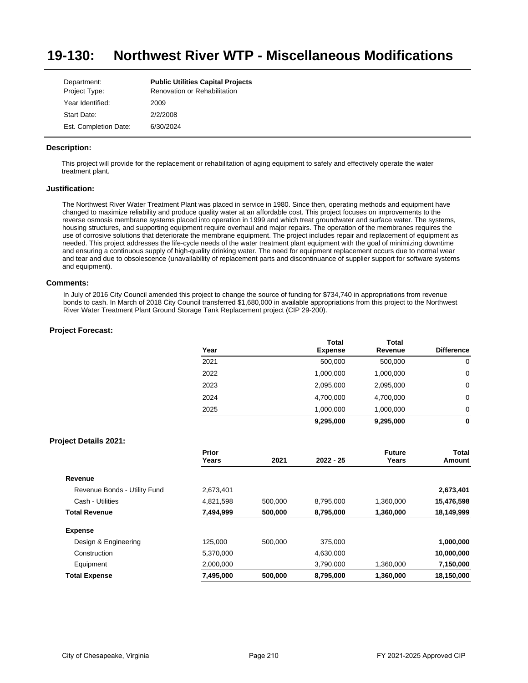#### **19-130: Northwest River WTP - Miscellaneous Modifications**

| Department:           | <b>Public Utilities Capital Projects</b> |
|-----------------------|------------------------------------------|
| Project Type:         | Renovation or Rehabilitation             |
| Year Identified:      | 2009                                     |
| Start Date:           | 2/2/2008                                 |
| Est. Completion Date: | 6/30/2024                                |

### **Description:**

This project will provide for the replacement or rehabilitation of aging equipment to safely and effectively operate the water treatment plant.

### **Justification:**

The Northwest River Water Treatment Plant was placed in service in 1980. Since then, operating methods and equipment have changed to maximize reliability and produce quality water at an affordable cost. This project focuses on improvements to the reverse osmosis membrane systems placed into operation in 1999 and which treat groundwater and surface water. The systems, housing structures, and supporting equipment require overhaul and major repairs. The operation of the membranes requires the use of corrosive solutions that deteriorate the membrane equipment. The project includes repair and replacement of equipment as needed. This project addresses the life-cycle needs of the water treatment plant equipment with the goal of minimizing downtime and ensuring a continuous supply of high-quality drinking water. The need for equipment replacement occurs due to normal wear and tear and due to obsolescence (unavailability of replacement parts and discontinuance of supplier support for software systems and equipment).

#### **Comments:**

In July of 2016 City Council amended this project to change the source of funding for \$734,740 in appropriations from revenue bonds to cash. In March of 2018 City Council transferred \$1,680,000 in available appropriations from this project to the Northwest River Water Treatment Plant Ground Storage Tank Replacement project (CIP 29-200).

## **Project Forecast:**

| Year | <b>Total</b><br><b>Expense</b> | Total<br>Revenue | <b>Difference</b> |
|------|--------------------------------|------------------|-------------------|
| 2021 | 500,000                        | 500,000          | 0                 |
| 2022 | 1,000,000                      | 1,000,000        | 0                 |
| 2023 | 2,095,000                      | 2,095,000        | 0                 |
| 2024 | 4,700,000                      | 4,700,000        | 0                 |
| 2025 | 1,000,000                      | 1,000,000        | 0                 |
|      | 9,295,000                      | 9,295,000        | 0                 |

|                              | Prior<br>Years | 2021    | $2022 - 25$ | <b>Future</b><br>Years | Total<br>Amount |
|------------------------------|----------------|---------|-------------|------------------------|-----------------|
|                              |                |         |             |                        |                 |
| Revenue                      |                |         |             |                        |                 |
| Revenue Bonds - Utility Fund | 2,673,401      |         |             |                        | 2,673,401       |
| Cash - Utilities             | 4,821,598      | 500.000 | 8,795,000   | 1,360,000              | 15,476,598      |
| <b>Total Revenue</b>         | 7,494,999      | 500,000 | 8,795,000   | 1,360,000              | 18,149,999      |
| <b>Expense</b>               |                |         |             |                        |                 |
| Design & Engineering         | 125.000        | 500.000 | 375,000     |                        | 1,000,000       |
| Construction                 | 5,370,000      |         | 4,630,000   |                        | 10,000,000      |
| Equipment                    | 2,000,000      |         | 3,790,000   | 1,360,000              | 7,150,000       |
| <b>Total Expense</b>         | 7,495,000      | 500,000 | 8,795,000   | 1,360,000              | 18,150,000      |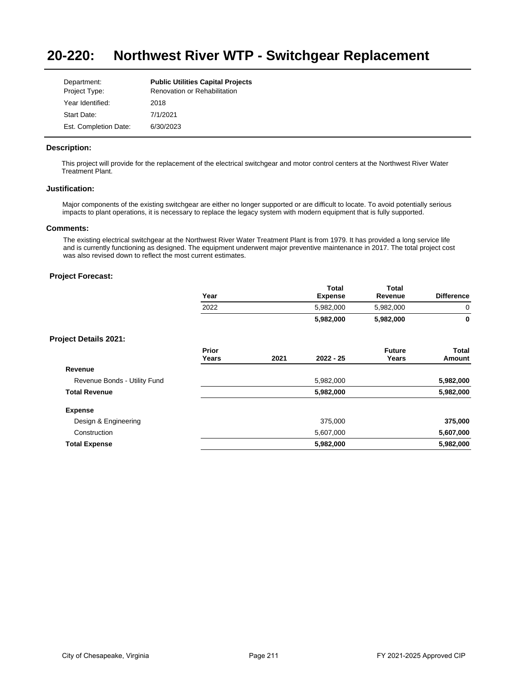#### **20-220: Northwest River WTP - Switchgear Replacement**

| Department:           | <b>Public Utilities Capital Projects</b> |
|-----------------------|------------------------------------------|
| Project Type:         | <b>Renovation or Rehabilitation</b>      |
| Year Identified:      | 2018                                     |
| Start Date:           | 7/1/2021                                 |
| Est. Completion Date: | 6/30/2023                                |

### **Description:**

This project will provide for the replacement of the electrical switchgear and motor control centers at the Northwest River Water Treatment Plant.

#### **Justification:**

Major components of the existing switchgear are either no longer supported or are difficult to locate. To avoid potentially serious impacts to plant operations, it is necessary to replace the legacy system with modern equipment that is fully supported.

### **Comments:**

The existing electrical switchgear at the Northwest River Water Treatment Plant is from 1979. It has provided a long service life and is currently functioning as designed. The equipment underwent major preventive maintenance in 2017. The total project cost was also revised down to reflect the most current estimates.

## **Project Forecast:**

| Year | <b>Total</b><br><b>Expense</b> | <b>Total</b><br>Revenue | <b>Difference</b> |
|------|--------------------------------|-------------------------|-------------------|
| 2022 | 5,982,000                      | 5,982,000               |                   |
|      | 5,982,000                      | 5,982,000               | 0                 |

|                              | Prior<br>Years | 2021 | $2022 - 25$ | <b>Future</b><br>Years | Total<br>Amount |
|------------------------------|----------------|------|-------------|------------------------|-----------------|
| Revenue                      |                |      |             |                        |                 |
| Revenue Bonds - Utility Fund |                |      | 5,982,000   |                        | 5,982,000       |
| <b>Total Revenue</b>         |                |      | 5,982,000   |                        | 5,982,000       |
| <b>Expense</b>               |                |      |             |                        |                 |
| Design & Engineering         |                |      | 375,000     |                        | 375,000         |
| Construction                 |                |      | 5,607,000   |                        | 5,607,000       |
| <b>Total Expense</b>         |                |      | 5,982,000   |                        | 5,982,000       |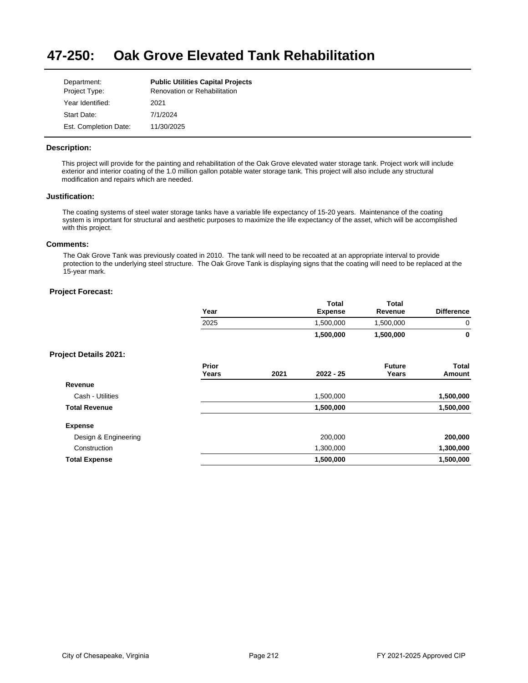#### **47-250: Oak Grove Elevated Tank Rehabilitation**

| Department:           | <b>Public Utilities Capital Projects</b> |
|-----------------------|------------------------------------------|
| Project Type:         | <b>Renovation or Rehabilitation</b>      |
| Year Identified:      | 2021                                     |
| Start Date:           | 7/1/2024                                 |
| Est. Completion Date: | 11/30/2025                               |

### **Description:**

This project will provide for the painting and rehabilitation of the Oak Grove elevated water storage tank. Project work will include exterior and interior coating of the 1.0 million gallon potable water storage tank. This project will also include any structural modification and repairs which are needed.

## **Justification:**

The coating systems of steel water storage tanks have a variable life expectancy of 15-20 years. Maintenance of the coating system is important for structural and aesthetic purposes to maximize the life expectancy of the asset, which will be accomplished with this project.

# **Comments:**

The Oak Grove Tank was previously coated in 2010. The tank will need to be recoated at an appropriate interval to provide protection to the underlying steel structure. The Oak Grove Tank is displaying signs that the coating will need to be replaced at the 15-year mark.

|                              | Year           |      | <b>Total</b><br><b>Expense</b> | <b>Total</b><br>Revenue | <b>Difference</b>      |
|------------------------------|----------------|------|--------------------------------|-------------------------|------------------------|
|                              | 2025           |      | 1,500,000                      | 1,500,000               | $\mathbf 0$            |
|                              |                |      | 1,500,000                      | 1,500,000               | $\mathbf 0$            |
| <b>Project Details 2021:</b> |                |      |                                |                         |                        |
|                              | Prior<br>Years | 2021 | $2022 - 25$                    | <b>Future</b><br>Years  | <b>Total</b><br>Amount |
| Revenue                      |                |      |                                |                         |                        |
| Cash - Utilities             |                |      | 1,500,000                      |                         | 1,500,000              |
| <b>Total Revenue</b>         |                |      | 1,500,000                      |                         | 1,500,000              |
| <b>Expense</b>               |                |      |                                |                         |                        |
| Design & Engineering         |                |      | 200,000                        |                         | 200,000                |
| Construction                 |                |      | 1,300,000                      |                         | 1,300,000              |
| <b>Total Expense</b>         |                |      | 1,500,000                      |                         | 1,500,000              |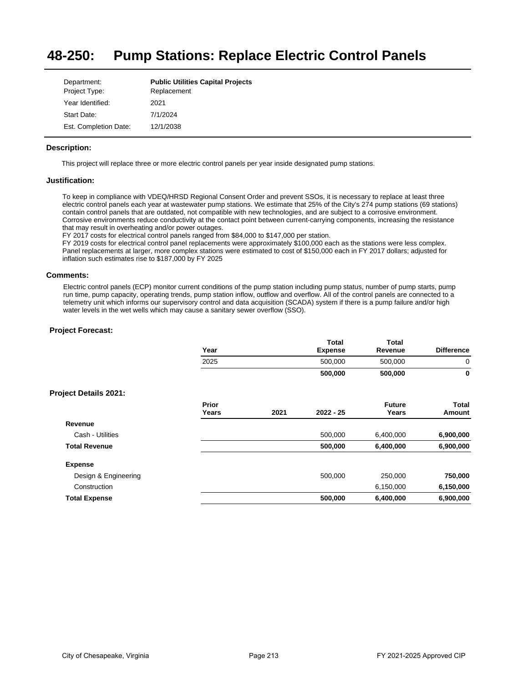#### **48-250: Pump Stations: Replace Electric Control Panels**

| Department:           | <b>Public Utilities Capital Projects</b> |
|-----------------------|------------------------------------------|
| Project Type:         | Replacement                              |
| Year Identified:      | 2021                                     |
| Start Date:           | 7/1/2024                                 |
| Est. Completion Date: | 12/1/2038                                |

## **Description:**

This project will replace three or more electric control panels per year inside designated pump stations.

### **Justification:**

To keep in compliance with VDEQ/HRSD Regional Consent Order and prevent SSOs, it is necessary to replace at least three electric control panels each year at wastewater pump stations. We estimate that 25% of the City's 274 pump stations (69 stations) contain control panels that are outdated, not compatible with new technologies, and are subject to a corrosive environment. Corrosive environments reduce conductivity at the contact point between current-carrying components, increasing the resistance that may result in overheating and/or power outages.

FY 2017 costs for electrical control panels ranged from \$84,000 to \$147,000 per station.

FY 2019 costs for electrical control panel replacements were approximately \$100,000 each as the stations were less complex. Panel replacements at larger, more complex stations were estimated to cost of \$150,000 each in FY 2017 dollars; adjusted for inflation such estimates rise to \$187,000 by FY 2025

### **Comments:**

Electric control panels (ECP) monitor current conditions of the pump station including pump status, number of pump starts, pump run time, pump capacity, operating trends, pump station inflow, outflow and overflow. All of the control panels are connected to a telemetry unit which informs our supervisory control and data acquisition (SCADA) system if there is a pump failure and/or high water levels in the wet wells which may cause a sanitary sewer overflow (SSO).

|                              | Year           |      | <b>Total</b><br><b>Expense</b> | <b>Total</b><br>Revenue | <b>Difference</b> |
|------------------------------|----------------|------|--------------------------------|-------------------------|-------------------|
|                              | 2025           |      | 500,000                        | 500,000                 | 0                 |
|                              |                |      | 500,000                        | 500,000                 | 0                 |
| <b>Project Details 2021:</b> |                |      |                                |                         |                   |
|                              | Prior<br>Years | 2021 | $2022 - 25$                    | <b>Future</b><br>Years  | Total<br>Amount   |
| Revenue                      |                |      |                                |                         |                   |
| Cash - Utilities             |                |      | 500,000                        | 6,400,000               | 6,900,000         |
| <b>Total Revenue</b>         |                |      | 500,000                        | 6,400,000               | 6,900,000         |
| <b>Expense</b>               |                |      |                                |                         |                   |
| Design & Engineering         |                |      | 500,000                        | 250,000                 | 750,000           |
| Construction                 |                |      |                                | 6,150,000               | 6,150,000         |
| <b>Total Expense</b>         |                |      | 500,000                        | 6,400,000               | 6,900,000         |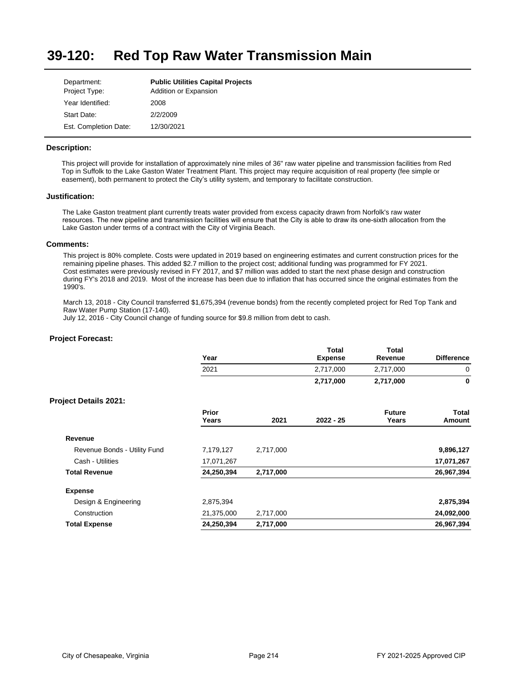#### **39-120: Red Top Raw Water Transmission Main**

| Department:<br>Project Type: | <b>Public Utilities Capital Projects</b><br>Addition or Expansion |
|------------------------------|-------------------------------------------------------------------|
| Year Identified:             | 2008                                                              |
| Start Date:                  | 2/2/2009                                                          |
| Est. Completion Date:        | 12/30/2021                                                        |

## **Description:**

This project will provide for installation of approximately nine miles of 36" raw water pipeline and transmission facilities from Red Top in Suffolk to the Lake Gaston Water Treatment Plant. This project may require acquisition of real property (fee simple or easement), both permanent to protect the City's utility system, and temporary to facilitate construction.

### **Justification:**

The Lake Gaston treatment plant currently treats water provided from excess capacity drawn from Norfolk's raw water resources. The new pipeline and transmission facilities will ensure that the City is able to draw its onesixth allocation from the Lake Gaston under terms of a contract with the City of Virginia Beach.

### **Comments:**

This project is 80% complete. Costs were updated in 2019 based on engineering estimates and current construction prices for the remaining pipeline phases. This added \$2.7 million to the project cost; additional funding was programmed for FY 2021. Cost estimates were previously revised in FY 2017, and \$7 million was added to start the next phase design and construction during FY's 2018 and 2019. Most of the increase has been due to inflation that has occurred since the original estimates from the 1990's.

March 13, 2018 - City Council transferred \$1,675,394 (revenue bonds) from the recently completed project for Red Top Tank and Raw Water Pump Station (17-140).

July 12, 2016 - City Council change of funding source for \$9.8 million from debt to cash.

| Year           |           | <b>Total</b><br><b>Expense</b> | <b>Total</b><br>Revenue | <b>Difference</b> |
|----------------|-----------|--------------------------------|-------------------------|-------------------|
| 2021           |           | 2,717,000                      | 2,717,000               | 0                 |
|                |           | 2,717,000                      | 2,717,000               | 0                 |
|                |           |                                |                         |                   |
| Prior<br>Years | 2021      | $2022 - 25$                    | <b>Future</b><br>Years  | Total<br>Amount   |
|                |           |                                |                         |                   |
| 7,179,127      | 2,717,000 |                                |                         | 9,896,127         |
| 17,071,267     |           |                                |                         | 17,071,267        |
| 24,250,394     | 2,717,000 |                                |                         | 26,967,394        |
|                |           |                                |                         |                   |
| 2,875,394      |           |                                |                         | 2,875,394         |
| 21,375,000     | 2,717,000 |                                |                         | 24,092,000        |
| 24,250,394     | 2,717,000 |                                |                         | 26,967,394        |
|                |           |                                |                         |                   |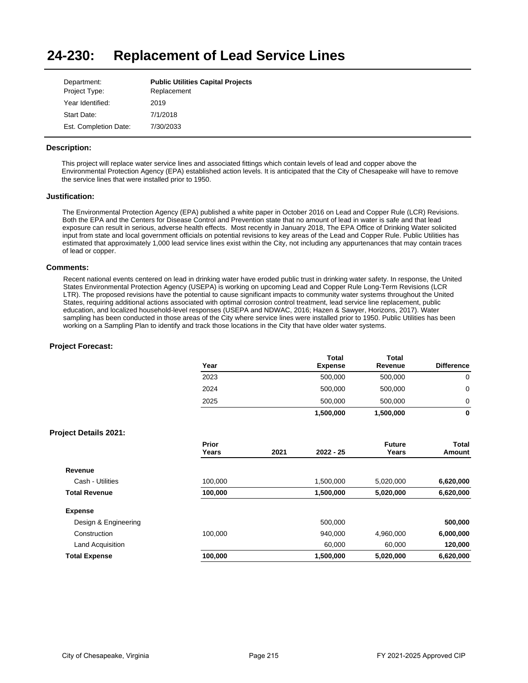#### **24-230: Replacement of Lead Service Lines**

| Department:           | <b>Public Utilities Capital Projects</b> |
|-----------------------|------------------------------------------|
| Project Type:         | Replacement                              |
| Year Identified:      | 2019                                     |
| Start Date:           | 7/1/2018                                 |
| Est. Completion Date: | 7/30/2033                                |

## **Description:**

This project will replace water service lines and associated fittings which contain levels of lead and copper above the Environmental Protection Agency (EPA) established action levels. It is anticipated that the City of Chesapeake will have to remove the service lines that were installed prior to 1950.

### **Justification:**

The Environmental Protection Agency (EPA) published a white paper in October 2016 on Lead and Copper Rule (LCR) Revisions. Both the EPA and the Centers for Disease Control and Prevention state that no amount of lead in water is safe and that lead exposure can result in serious, adverse health effects. Most recently in January 2018, The EPA Office of Drinking Water solicited input from state and local government officials on potential revisions to key areas of the Lead and Copper Rule. Public Utilities has estimated that approximately 1,000 lead service lines exist within the City, not including any appurtenances that may contain traces of lead or copper.

#### **Comments:**

Recent national events centered on lead in drinking water have eroded public trust in drinking water safety. In response, the United States Environmental Protection Agency (USEPA) is working on upcoming Lead and Copper Rule Long-Term Revisions (LCR LTR). The proposed revisions have the potential to cause significant impacts to community water systems throughout the United States, requiring additional actions associated with optimal corrosion control treatment, lead service line replacement, public education, and localized household-level responses (USEPA and NDWAC, 2016; Hazen & Sawyer, Horizons, 2017). Water sampling has been conducted in those areas of the City where service lines were installed prior to 1950. Public Utilities has been working on a Sampling Plan to identify and track those locations in the City that have older water systems.

|                              | Year           |      | Total<br><b>Expense</b> | <b>Total</b><br>Revenue | <b>Difference</b>      |
|------------------------------|----------------|------|-------------------------|-------------------------|------------------------|
|                              | 2023           |      | 500,000                 | 500,000                 | $\mathbf 0$            |
|                              | 2024           |      | 500,000                 | 500,000                 | $\mathbf 0$            |
|                              | 2025           |      | 500,000                 | 500,000                 | 0                      |
|                              |                |      | 1,500,000               | 1,500,000               | $\mathbf 0$            |
| <b>Project Details 2021:</b> |                |      |                         |                         |                        |
|                              | Prior<br>Years | 2021 | 2022 - 25               | <b>Future</b><br>Years  | <b>Total</b><br>Amount |
| Revenue                      |                |      |                         |                         |                        |
| Cash - Utilities             | 100,000        |      | 1,500,000               | 5,020,000               | 6,620,000              |
| <b>Total Revenue</b>         | 100,000        |      | 1,500,000               | 5,020,000               | 6,620,000              |
| <b>Expense</b>               |                |      |                         |                         |                        |
| Design & Engineering         |                |      | 500,000                 |                         | 500,000                |
| Construction                 | 100,000        |      | 940,000                 | 4,960,000               | 6,000,000              |
| Land Acquisition             |                |      | 60,000                  | 60,000                  | 120,000                |
| <b>Total Expense</b>         | 100,000        |      | 1,500,000               | 5,020,000               | 6,620,000              |
|                              |                |      |                         |                         |                        |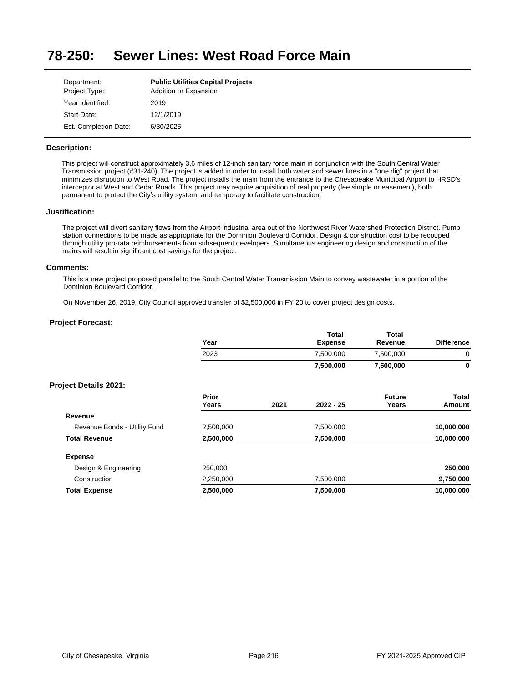#### **78-250: Sewer Lines: West Road Force Main**

| Department:           | <b>Public Utilities Capital Projects</b> |
|-----------------------|------------------------------------------|
| Project Type:         | Addition or Expansion                    |
| Year Identified:      | 2019                                     |
| Start Date:           | 12/1/2019                                |
| Est. Completion Date: | 6/30/2025                                |

### **Description:**

This project will construct approximately 3.6 miles of 12-inch sanitary force main in conjunction with the South Central Water Transmission project (#31-240). The project is added in order to install both water and sewer lines in a "one dig" project that minimizes disruption to West Road. The project installs the main from the entrance to the Chesapeake Municipal Airport to HRSD's interceptor at West and Cedar Roads. This project may require acquisition of real property (fee simple or easement), both permanent to protect the City's utility system, and temporary to facilitate construction.

### **Justification:**

The project will divert sanitary flows from the Airport industrial area out of the Northwest River Watershed Protection District. Pump station connections to be made as appropriate for the Dominion Boulevard Corridor. Design & construction cost to be recouped through utility pro-rata reimbursements from subsequent developers. Simultaneous engineering design and construction of the mains will result in significant cost savings for the project.

### **Comments:**

This is a new project proposed parallel to the South Central Water Transmission Main to convey wastewater in a portion of the Dominion Boulevard Corridor.

On November 26, 2019, City Council approved transfer of \$2,500,000 in FY 20 to cover project design costs.

|                              | Year           |      | Total<br><b>Expense</b> | Total<br>Revenue       | <b>Difference</b> |
|------------------------------|----------------|------|-------------------------|------------------------|-------------------|
|                              | 2023           |      | 7,500,000               | 7,500,000              | 0                 |
|                              |                |      | 7,500,000               | 7,500,000              | $\bf{0}$          |
| <b>Project Details 2021:</b> |                |      |                         |                        |                   |
|                              | Prior<br>Years | 2021 | $2022 - 25$             | <b>Future</b><br>Years | Total<br>Amount   |
| Revenue                      |                |      |                         |                        |                   |
| Revenue Bonds - Utility Fund | 2,500,000      |      | 7,500,000               |                        | 10,000,000        |
| <b>Total Revenue</b>         | 2,500,000      |      | 7,500,000               |                        | 10,000,000        |
| <b>Expense</b>               |                |      |                         |                        |                   |
| Design & Engineering         | 250,000        |      |                         |                        | 250,000           |
| Construction                 | 2,250,000      |      | 7,500,000               |                        | 9,750,000         |
| <b>Total Expense</b>         | 2,500,000      |      | 7,500,000               |                        | 10,000,000        |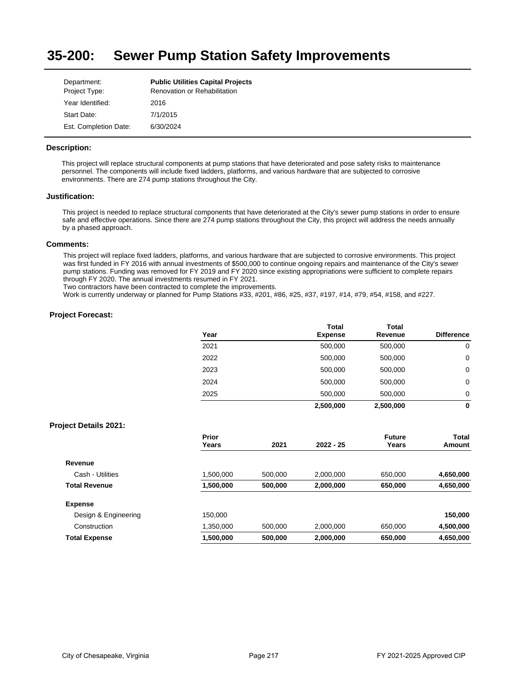#### **35-200: Sewer Pump Station Safety Improvements**

| Department:           | <b>Public Utilities Capital Projects</b> |
|-----------------------|------------------------------------------|
| Project Type:         | <b>Renovation or Rehabilitation</b>      |
| Year Identified:      | 2016                                     |
| Start Date:           | 7/1/2015                                 |
| Est. Completion Date: | 6/30/2024                                |

### **Description:**

This project will replace structural components at pump stations that have deteriorated and pose safety risks to maintenance personnel. The components will include fixed ladders, platforms, and various hardware that are subjected to corrosive environments. There are 274 pump stations throughout the City.

#### **Justification:**

This project is needed to replace structural components that have deteriorated at the City's sewer pump stations in order to ensure safe and effective operations. Since there are 274 pump stations throughout the City, this project will address the needs annually by a phased approach.

#### **Comments:**

This project will replace fixed ladders, platforms, and various hardware that are subjected to corrosive environments. This project was first funded in FY 2016 with annual investments of \$500,000 to continue ongoing repairs and maintenance of the City's sewer pump stations. Funding was removed for FY 2019 and FY 2020 since existing appropriations were sufficient to complete repairs through FY 2020. The annual investments resumed in FY 2021.

Two contractors have been contracted to complete the improvements.

Work is currently underway or planned for Pump Stations #33, #201, #86, #25, #37, #197, #14, #79, #54, #158, and #227.

#### **Project Forecast:**

| Year | <b>Total</b><br><b>Expense</b> | <b>Total</b><br>Revenue | <b>Difference</b> |
|------|--------------------------------|-------------------------|-------------------|
| 2021 | 500,000                        | 500,000                 | 0                 |
| 2022 | 500,000                        | 500,000                 | 0                 |
| 2023 | 500,000                        | 500,000                 | 0                 |
| 2024 | 500,000                        | 500,000                 | 0                 |
| 2025 | 500,000                        | 500,000                 | 0                 |
|      | 2,500,000                      | 2,500,000               | 0                 |

|                      | Prior<br>Years | 2021    | $2022 - 25$ | <b>Future</b><br>Years | Total<br>Amount |
|----------------------|----------------|---------|-------------|------------------------|-----------------|
|                      |                |         |             |                        |                 |
| Revenue              |                |         |             |                        |                 |
| Cash - Utilities     | 1,500,000      | 500.000 | 2,000,000   | 650.000                | 4,650,000       |
| <b>Total Revenue</b> | 1,500,000      | 500,000 | 2,000,000   | 650,000                | 4,650,000       |
| <b>Expense</b>       |                |         |             |                        |                 |
| Design & Engineering | 150.000        |         |             |                        | 150,000         |
| Construction         | 1,350,000      | 500.000 | 2,000,000   | 650,000                | 4,500,000       |
| <b>Total Expense</b> | 1,500,000      | 500,000 | 2,000,000   | 650,000                | 4,650,000       |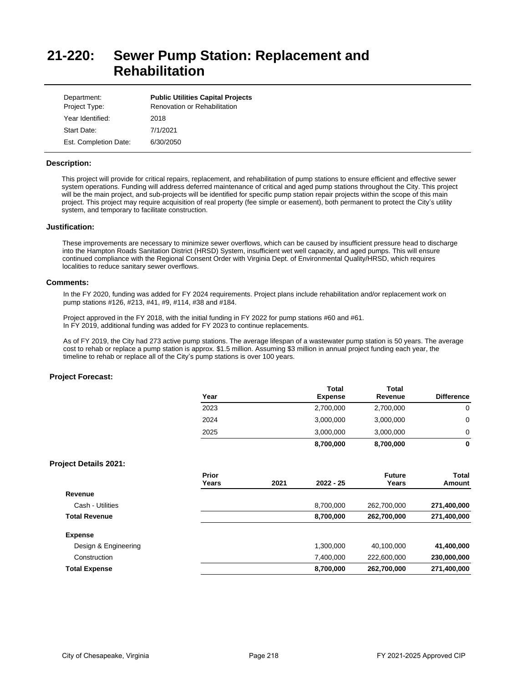# **21-220: Sewer Pump Station: Replacement and Rehabilitation**

| Department:<br>Project Type: | <b>Public Utilities Capital Projects</b><br><b>Renovation or Rehabilitation</b> |
|------------------------------|---------------------------------------------------------------------------------|
| Year Identified:             | 2018                                                                            |
| Start Date:                  | 7/1/2021                                                                        |
| Est. Completion Date:        | 6/30/2050                                                                       |

#### **Description:**

This project will provide for critical repairs, replacement, and rehabilitation of pump stations to ensure efficient and effective sewer system operations. Funding will address deferred maintenance of critical and aged pump stations throughout the City. This project will be the main project, and sub-projects will be identified for specific pump station repair projects within the scope of this main project. This project may require acquisition of real property (fee simple or easement), both permanent to protect the City's utility system, and temporary to facilitate construction.

#### **Justification:**

These improvements are necessary to minimize sewer overflows, which can be caused by insufficient pressure head to discharge into the Hampton Roads Sanitation District (HRSD) System, insufficient wet well capacity, and aged pumps. This will ensure continued compliance with the Regional Consent Order with Virginia Dept. of Environmental Quality/HRSD, which requires localities to reduce sanitary sewer overflows.

#### **Comments:**

In the FY 2020, funding was added for FY 2024 requirements. Project plans include rehabilitation and/or replacement work on pump stations #126, #213, #41, #9, #114, #38 and #184.

Project approved in the FY 2018, with the initial funding in FY 2022 for pump stations #60 and #61. In FY 2019, additional funding was added for FY 2023 to continue replacements.

As of FY 2019, the City had 273 active pump stations. The average lifespan of a wastewater pump station is 50 years. The average cost to rehab or replace a pump station is approx. \$1.5 million. Assuming \$3 million in annual project funding each year, the timeline to rehab or replace all of the City's pump stations is over 100 years.

### **Project Forecast:**

| Year | Total<br><b>Expense</b> | <b>Total</b><br>Revenue | <b>Difference</b> |
|------|-------------------------|-------------------------|-------------------|
| 2023 | 2,700,000               | 2,700,000               | 0                 |
| 2024 | 3,000,000               | 3,000,000               | 0                 |
| 2025 | 3,000,000               | 3,000,000               | 0                 |
|      | 8,700,000               | 8,700,000               | 0                 |

|                      | Prior<br>Years | 2021 | $2022 - 25$ | <b>Future</b><br>Years | Total<br>Amount |
|----------------------|----------------|------|-------------|------------------------|-----------------|
| Revenue              |                |      |             |                        |                 |
| Cash - Utilities     |                |      | 8,700,000   | 262,700,000            | 271,400,000     |
| <b>Total Revenue</b> |                |      | 8,700,000   | 262,700,000            | 271,400,000     |
| <b>Expense</b>       |                |      |             |                        |                 |
| Design & Engineering |                |      | 1,300,000   | 40,100,000             | 41,400,000      |
| Construction         |                |      | 7,400,000   | 222,600,000            | 230,000,000     |
| <b>Total Expense</b> |                |      | 8,700,000   | 262,700,000            | 271,400,000     |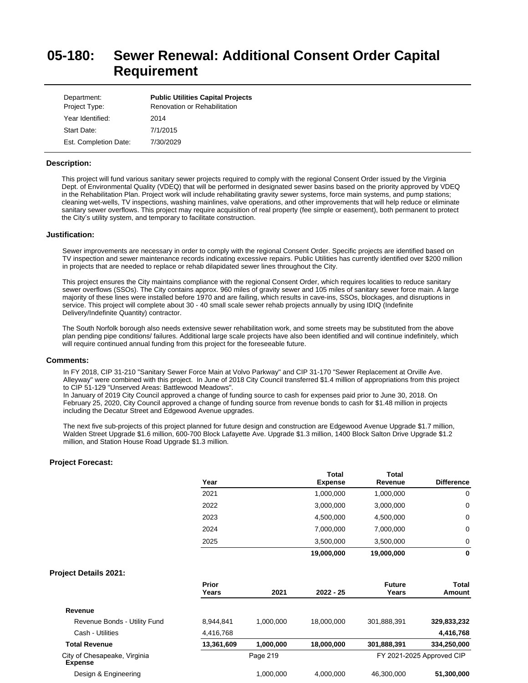# **05-180: Sewer Renewal: Additional Consent Order Capital Requirement**

| Department:<br>Project Type: | <b>Public Utilities Capital Projects</b><br><b>Renovation or Rehabilitation</b> |
|------------------------------|---------------------------------------------------------------------------------|
| Year Identified:             | 2014                                                                            |
| Start Date:                  | 7/1/2015                                                                        |
| Est. Completion Date:        | 7/30/2029                                                                       |

#### **Description:**

This project will fund various sanitary sewer projects required to comply with the regional Consent Order issued by the Virginia Dept. of Environmental Quality (VDEQ) that will be performed in designated sewer basins based on the priority approved by VDEQ in the Rehabilitation Plan. Project work will include rehabilitating gravity sewer systems, force main systems, and pump stations; cleaning wet-wells, TV inspections, washing mainlines, valve operations, and other improvements that will help reduce or eliminate sanitary sewer overflows. This project may require acquisition of real property (fee simple or easement), both permanent to protect the City's utility system, and temporary to facilitate construction.

#### **Justification:**

Sewer improvements are necessary in order to comply with the regional Consent Order. Specific projects are identified based on TV inspection and sewer maintenance records indicating excessive repairs. Public Utilities has currently identified over \$200 million in projects that are needed to replace or rehab dilapidated sewer lines throughout the City.

This project ensures the City maintains compliance with the regional Consent Order, which requires localities to reduce sanitary sewer overflows (SSOs). The City contains approx. 960 miles of gravity sewer and 105 miles of sanitary sewer force main. A large majority of these lines were installed before 1970 and are failing, which results in cave-ins, SSOs, blockages, and disruptions in service. This project will complete about 30 - 40 small scale sewer rehab projects annually by using IDIQ (Indefinite Delivery/Indefinite Quantity) contractor.

The South Norfolk borough also needs extensive sewer rehabilitation work, and some streets may be substituted from the above plan pending pipe conditions/ failures. Additional large scale projects have also been identified and will continue indefinitely, which will require continued annual funding from this project for the foreseeable future.

#### **Comments:**

In FY 2018, CIP 31-210 "Sanitary Sewer Force Main at Volvo Parkway" and CIP 31-170 "Sewer Replacement at Orville Ave. Alleyway" were combined with this project. In June of 2018 City Council transferred \$1.4 million of appropriations from this project to CIP 51-129 "Unserved Areas: Battlewood Meadows".

In January of 2019 City Council approved a change of funding source to cash for expenses paid prior to June 30, 2018. On February 25, 2020, City Council approved a change of funding source from revenue bonds to cash for \$1.48 million in projects including the Decatur Street and Edgewood Avenue upgrades.

The next five sub-projects of this project planned for future design and construction are Edgewood Avenue Upgrade \$1.7 million, Walden Street Upgrade \$1.6 million, 600-700 Block Lafayette Ave. Upgrade \$1.3 million, 1400 Block Salton Drive Upgrade \$1.2 million, and Station House Road Upgrade \$1.3 million.

|                                                | Year           |           | <b>Total</b><br><b>Expense</b> | <b>Total</b><br>Revenue | <b>Difference</b>         |
|------------------------------------------------|----------------|-----------|--------------------------------|-------------------------|---------------------------|
|                                                | 2021           |           | 1,000,000                      | 1,000,000               | 0                         |
|                                                | 2022           |           | 3,000,000                      | 3,000,000               | 0                         |
|                                                | 2023           |           | 4,500,000                      | 4,500,000               | 0                         |
|                                                | 2024           |           | 7,000,000                      | 7,000,000               | 0                         |
|                                                | 2025           |           | 3,500,000                      | 3,500,000               | 0                         |
|                                                |                |           | 19,000,000                     | 19,000,000              | $\mathbf{0}$              |
| <b>Project Details 2021:</b>                   |                |           |                                |                         |                           |
|                                                | Prior<br>Years | 2021      | $2022 - 25$                    | <b>Future</b><br>Years  | <b>Total</b><br>Amount    |
| Revenue                                        |                |           |                                |                         |                           |
| Revenue Bonds - Utility Fund                   | 8,944,841      | 1,000,000 | 18,000,000                     | 301,888,391             | 329,833,232               |
| Cash - Utilities                               | 4,416,768      |           |                                |                         | 4,416,768                 |
| <b>Total Revenue</b>                           | 13,361,609     | 1,000,000 | 18,000,000                     | 301,888,391             | 334,250,000               |
| City of Chesapeake, Virginia<br><b>Expense</b> |                | Page 219  |                                |                         | FY 2021-2025 Approved CIP |
| Desian & Engineering                           |                | 1.000.000 | 4.000.000                      | 46.300.000              | 51.300.000                |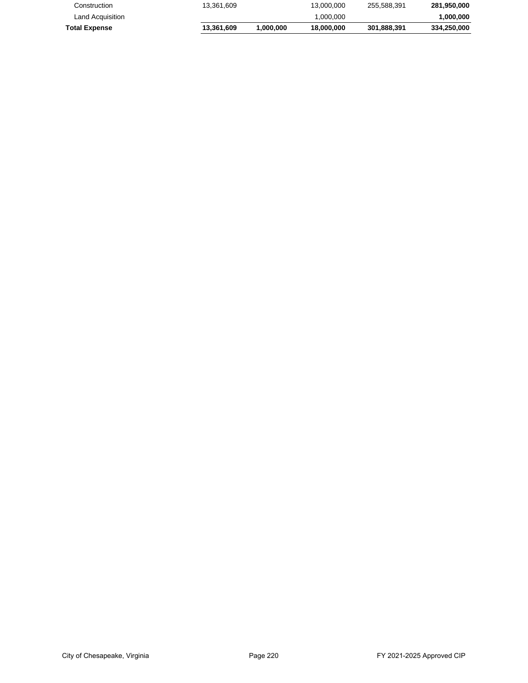| Construction         | 13.361.609 |          | 13.000.000 | 255.588.391 | 281.950.000 |
|----------------------|------------|----------|------------|-------------|-------------|
| Land Acquisition     |            |          | 1.000.000  |             | 1.000.000   |
| <b>Total Expense</b> | 13.361.609 | .000.000 | 18,000,000 | 301.888.391 | 334.250.000 |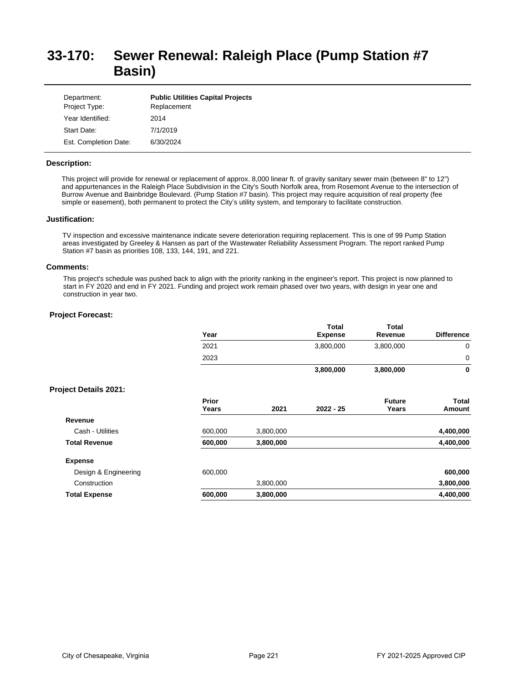# **33-170: Sewer Renewal: Raleigh Place (Pump Station #7 Basin)**

| Department:<br>Project Type: | <b>Public Utilities Capital Projects</b><br>Replacement |
|------------------------------|---------------------------------------------------------|
| Year Identified:             | 2014                                                    |
| Start Date:                  | 7/1/2019                                                |
| Est. Completion Date:        | 6/30/2024                                               |

#### **Description:**

This project will provide for renewal or replacement of approx. 8,000 linear ft. of gravity sanitary sewer main (between 8" to 12") and appurtenances in the Raleigh Place Subdivision in the City's South Norfolk area, from Rosemont Avenue to the intersection of Burrow Avenue and Bainbridge Boulevard. (Pump Station #7 basin). This project may require acquisition of real property (fee simple or easement), both permanent to protect the City's utility system, and temporary to facilitate construction.

#### **Justification:**

TV inspection and excessive maintenance indicate severe deterioration requiring replacement. This is one of 99 Pump Station areas investigated by Greeley & Hansen as part of the Wastewater Reliability Assessment Program. The report ranked Pump Station #7 basin as priorities 108, 133, 144, 191, and 221.

#### **Comments:**

This project's schedule was pushed back to align with the priority ranking in the engineer's report. This project is now planned to start in FY 2020 and end in FY 2021. Funding and project work remain phased over two years, with design in year one and construction in year two.

|                              | Year           |           | <b>Total</b><br><b>Expense</b> | <b>Total</b><br>Revenue | <b>Difference</b>      |
|------------------------------|----------------|-----------|--------------------------------|-------------------------|------------------------|
|                              | 2021           |           | 3,800,000                      | 3,800,000               | 0                      |
|                              | 2023           |           |                                |                         | 0                      |
|                              |                |           | 3,800,000                      | 3,800,000               | 0                      |
| <b>Project Details 2021:</b> |                |           |                                |                         |                        |
|                              | Prior<br>Years | 2021      | $2022 - 25$                    | <b>Future</b><br>Years  | <b>Total</b><br>Amount |
| Revenue                      |                |           |                                |                         |                        |
| Cash - Utilities             | 600,000        | 3,800,000 |                                |                         | 4,400,000              |
| <b>Total Revenue</b>         | 600,000        | 3,800,000 |                                |                         | 4,400,000              |
| <b>Expense</b>               |                |           |                                |                         |                        |
| Design & Engineering         | 600,000        |           |                                |                         | 600,000                |
| Construction                 |                | 3,800,000 |                                |                         | 3,800,000              |
| <b>Total Expense</b>         | 600,000        | 3,800,000 |                                |                         | 4,400,000              |
|                              |                |           |                                |                         |                        |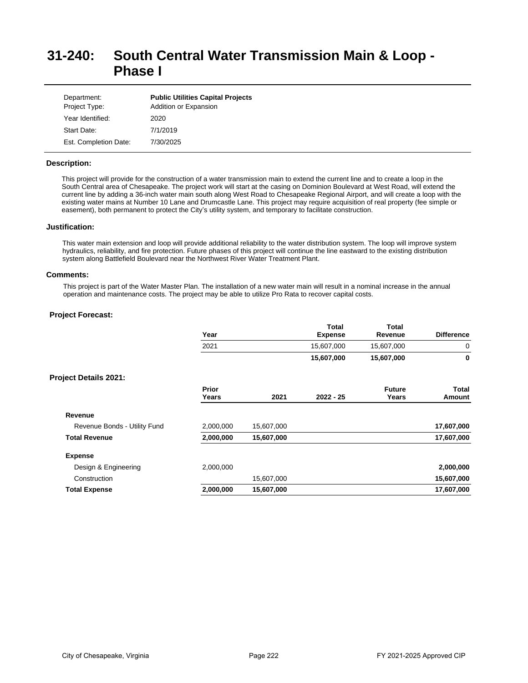# **31-240: South Central Water Transmission Main & Loop - Phase I**

| Department:<br>Project Type: | <b>Public Utilities Capital Projects</b><br>Addition or Expansion |
|------------------------------|-------------------------------------------------------------------|
| Year Identified:             | 2020                                                              |
| Start Date:                  | 7/1/2019                                                          |
| Est. Completion Date:        | 7/30/2025                                                         |

### **Description:**

This project will provide for the construction of a water transmission main to extend the current line and to create a loop in the South Central area of Chesapeake. The project work will start at the casing on Dominion Boulevard at West Road, will extend the current line by adding a 36-inch water main south along West Road to Chesapeake Regional Airport, and will create a loop with the existing water mains at Number 10 Lane and Drumcastle Lane. This project may require acquisition of real property (fee simple or easement), both permanent to protect the City's utility system, and temporary to facilitate construction.

#### **Justification:**

This water main extension and loop will provide additional reliability to the water distribution system. The loop will improve system hydraulics, reliability, and fire protection. Future phases of this project will continue the line eastward to the existing distribution system along Battlefield Boulevard near the Northwest River Water Treatment Plant.

#### **Comments:**

This project is part of the Water Master Plan. The installation of a new water main will result in a nominal increase in the annual operation and maintenance costs. The project may be able to utilize Pro Rata to recover capital costs.

|                              | Year           |            | <b>Total</b><br><b>Expense</b> | <b>Total</b><br>Revenue | <b>Difference</b> |
|------------------------------|----------------|------------|--------------------------------|-------------------------|-------------------|
|                              | 2021           |            | 15,607,000                     | 15,607,000              | 0                 |
|                              |                |            | 15,607,000                     | 15,607,000              | 0                 |
| <b>Project Details 2021:</b> |                |            |                                |                         |                   |
|                              | Prior<br>Years | 2021       | $2022 - 25$                    | <b>Future</b><br>Years  | Total<br>Amount   |
| Revenue                      |                |            |                                |                         |                   |
| Revenue Bonds - Utility Fund | 2,000,000      | 15,607,000 |                                |                         | 17,607,000        |
| <b>Total Revenue</b>         | 2,000,000      | 15,607,000 |                                |                         | 17,607,000        |
| <b>Expense</b>               |                |            |                                |                         |                   |
| Design & Engineering         | 2,000,000      |            |                                |                         | 2,000,000         |
| Construction                 |                | 15,607,000 |                                |                         | 15,607,000        |
| <b>Total Expense</b>         | 2,000,000      | 15,607,000 |                                |                         | 17,607,000        |
|                              |                |            |                                |                         |                   |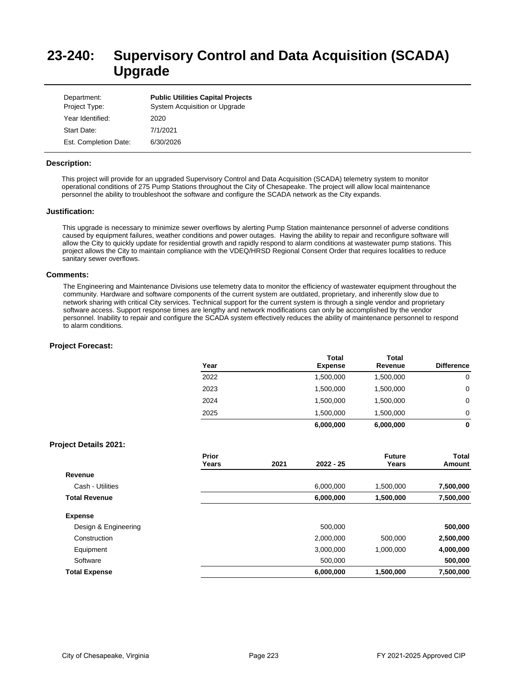# **23-240: Supervisory Control and Data Acquisition (SCADA) Upgrade**

| Department:<br>Project Type: | <b>Public Utilities Capital Projects</b><br>System Acquisition or Upgrade |
|------------------------------|---------------------------------------------------------------------------|
| Year Identified:             | 2020                                                                      |
| Start Date:                  | 7/1/2021                                                                  |
| Est. Completion Date:        | 6/30/2026                                                                 |

#### **Description:**

This project will provide for an upgraded Supervisory Control and Data Acquisition (SCADA) telemetry system to monitor operational conditions of 275 Pump Stations throughout the City of Chesapeake. The project will allow local maintenance personnel the ability to troubleshoot the software and configure the SCADA network as the City expands.

#### **Justification:**

This upgrade is necessary to minimize sewer overflows by alerting Pump Station maintenance personnel of adverse conditions caused by equipment failures, weather conditions and power outages. Having the ability to repair and reconfigure software will allow the City to quickly update for residential growth and rapidly respond to alarm conditions at wastewater pump stations. This project allows the City to maintain compliance with the VDEQ/HRSD Regional Consent Order that requires localities to reduce sanitary sewer overflows.

#### **Comments:**

The Engineering and Maintenance Divisions use telemetry data to monitor the efficiency of wastewater equipment throughout the community. Hardware and software components of the current system are outdated, proprietary, and inherently slow due to network sharing with critical City services. Technical support for the current system is through a single vendor and proprietary software access. Support response times are lengthy and network modifications can only be accomplished by the vendor personnel. Inability to repair and configure the SCADA system effectively reduces the ability of maintenance personnel to respond to alarm conditions.

#### **Project Forecast:**

|      | Total          | <b>Total</b> |                   |
|------|----------------|--------------|-------------------|
| Year | <b>Expense</b> | Revenue      | <b>Difference</b> |
| 2022 | 1,500,000      | 1,500,000    | 0                 |
| 2023 | 1,500,000      | 1,500,000    | 0                 |
| 2024 | 1,500,000      | 1,500,000    | 0                 |
| 2025 | 1.500.000      | 1,500,000    | 0                 |
|      | 6,000,000      | 6,000,000    | 0                 |

|                      | Prior<br>Years | 2021 | $2022 - 25$ | <b>Future</b><br>Years | <b>Total</b><br>Amount |
|----------------------|----------------|------|-------------|------------------------|------------------------|
| Revenue              |                |      |             |                        |                        |
| Cash - Utilities     |                |      | 6,000,000   | 1,500,000              | 7,500,000              |
| <b>Total Revenue</b> |                |      | 6,000,000   | 1,500,000              | 7,500,000              |
| <b>Expense</b>       |                |      |             |                        |                        |
| Design & Engineering |                |      | 500.000     |                        | 500,000                |
| Construction         |                |      | 2,000,000   | 500,000                | 2,500,000              |
| Equipment            |                |      | 3,000,000   | 1,000,000              | 4,000,000              |
| Software             |                |      | 500,000     |                        | 500,000                |
| <b>Total Expense</b> |                |      | 6,000,000   | 1,500,000              | 7,500,000              |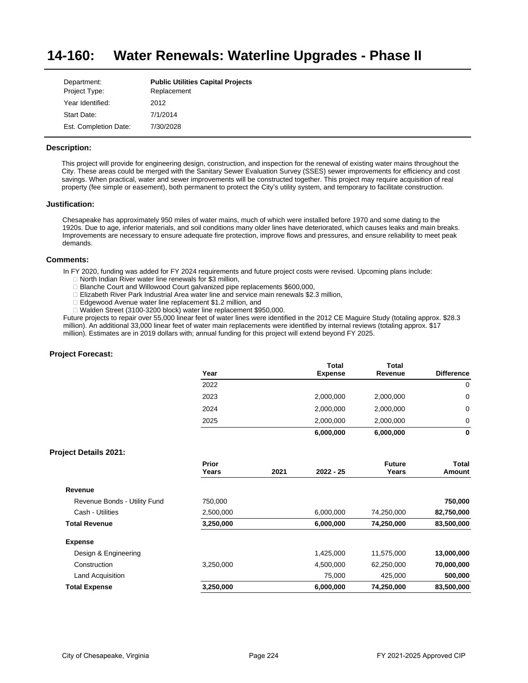#### **14-160: Water Renewals: Waterline Upgrades - Phase II**

| Department:           | <b>Public Utilities Capital Projects</b> |
|-----------------------|------------------------------------------|
| Project Type:         | Replacement                              |
| Year Identified:      | 2012                                     |
| Start Date:           | 7/1/2014                                 |
| Est. Completion Date: | 7/30/2028                                |

### **Description:**

This project will provide for engineering design, construction, and inspection for the renewal of existing water mains throughout the City. These areas could be merged with the Sanitary Sewer Evaluation Survey (SSES) sewer improvements for efficiency and cost savings. When practical, water and sewer improvements will be constructed together. This project may require acquisition of real property (fee simple or easement), both permanent to protect the City's utility system, and temporary to facilitate construction.

### **Justification:**

Chesapeake has approximately 950 miles of water mains, much of which were installed before 1970 and some dating to the 1920s. Due to age, inferior materials, and soil conditions many older lines have deteriorated, which causes leaks and main breaks. Improvements are necessary to ensure adequate fire protection, improve flows and pressures, and ensure reliability to meet peak demands.

### **Comments:**

In FY 2020, funding was added for FY 2024 requirements and future project costs were revised. Upcoming plans include:

- $\square$  North Indian River water line renewals for \$3 million,
- □ Blanche Court and Willowood Court galvanized pipe replacements \$600,000,
- □ Elizabeth River Park Industrial Area water line and service main renewals \$2.3 million,
- □ Edgewood Avenue water line replacement \$1.2 million, and
- □ Walden Street (3100-3200 block) water line replacement \$950,000.

Future projects to repair over 55,000 linear feet of water lines were identified in the 2012 CE Maguire Study (totaling approx. \$28.3 million). An additional 33,000 linear feet of water main replacements were identified by internal reviews (totaling approx. \$17 million). Estimates are in 2019 dollars with; annual funding for this project will extend beyond FY 2025.

### **Project Forecast:**

| Year | <b>Total</b><br><b>Expense</b> | <b>Total</b><br>Revenue | <b>Difference</b> |
|------|--------------------------------|-------------------------|-------------------|
| 2022 |                                |                         | 0                 |
| 2023 | 2,000,000                      | 2,000,000               | 0                 |
| 2024 | 2,000,000                      | 2,000,000               | 0                 |
| 2025 | 2,000,000                      | 2,000,000               | 0                 |
|      | 6,000,000                      | 6,000,000               | 0                 |

|                              | Prior<br>Years | 2021 | $2022 - 25$ | <b>Future</b><br>Years | Total<br>Amount |
|------------------------------|----------------|------|-------------|------------------------|-----------------|
| Revenue                      |                |      |             |                        |                 |
| Revenue Bonds - Utility Fund | 750.000        |      |             |                        | 750,000         |
| Cash - Utilities             | 2,500,000      |      | 6,000,000   | 74,250,000             | 82,750,000      |
| <b>Total Revenue</b>         | 3,250,000      |      | 6,000,000   | 74,250,000             | 83,500,000      |
| <b>Expense</b>               |                |      |             |                        |                 |
| Design & Engineering         |                |      | 1,425,000   | 11,575,000             | 13,000,000      |
| Construction                 | 3,250,000      |      | 4,500,000   | 62,250,000             | 70,000,000      |
| Land Acquisition             |                |      | 75.000      | 425.000                | 500,000         |
| <b>Total Expense</b>         | 3,250,000      |      | 6,000,000   | 74,250,000             | 83,500,000      |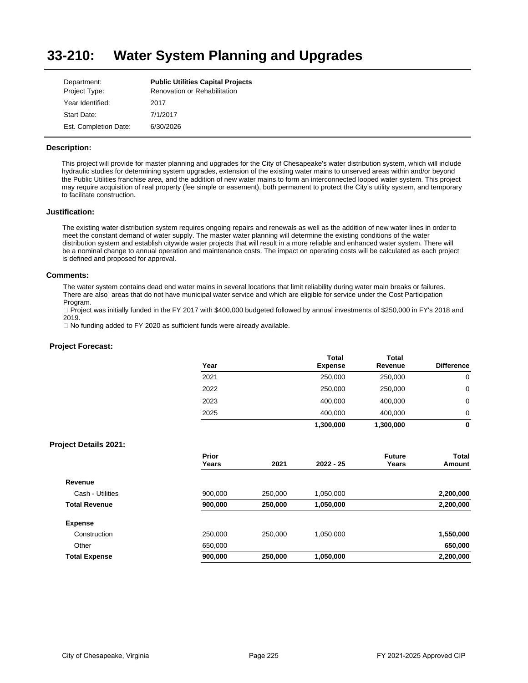#### **33-210: Water System Planning and Upgrades**

| Department:           | <b>Public Utilities Capital Projects</b> |
|-----------------------|------------------------------------------|
| Project Type:         | <b>Renovation or Rehabilitation</b>      |
| Year Identified:      | 2017                                     |
| Start Date:           | 7/1/2017                                 |
| Est. Completion Date: | 6/30/2026                                |

### **Description:**

This project will provide for master planning and upgrades for the City of Chesapeake's water distribution system, which will include hydraulic studies for determining system upgrades, extension of the existing water mains to unserved areas within and/or beyond the Public Utilities franchise area, and the addition of new water mains to form an interconnected looped water system. This project may require acquisition of real property (fee simple or easement), both permanent to protect the City's utility system, and temporary to facilitate construction.

### **Justification:**

The existing water distribution system requires ongoing repairs and renewals as well as the addition of new water lines in order to meet the constant demand of water supply. The master water planning will determine the existing conditions of the water distribution system and establish citywide water projects that will result in a more reliable and enhanced water system. There will be a nominal change to annual operation and maintenance costs. The impact on operating costs will be calculated as each project is defined and proposed for approval.

#### **Comments:**

The water system contains dead end water mains in several locations that limit reliability during water main breaks or failures. There are also areas that do not have municipal water service and which are eligible for service under the Cost Participation Program.

□ Project was initially funded in the FY 2017 with \$400,000 budgeted followed by annual investments of \$250,000 in FY's 2018 and 2019.

 $\Box$  No funding added to FY 2020 as sufficient funds were already available.

|                              | Year           |         | <b>Total</b><br><b>Expense</b> | <b>Total</b><br>Revenue | <b>Difference</b>             |
|------------------------------|----------------|---------|--------------------------------|-------------------------|-------------------------------|
|                              | 2021           |         | 250,000                        | 250,000                 | $\mathbf 0$                   |
|                              | 2022           |         | 250,000                        | 250,000                 | 0                             |
|                              | 2023           |         | 400,000                        | 400,000                 | 0                             |
|                              | 2025           |         | 400,000                        | 400,000                 | 0                             |
|                              |                |         | 1,300,000                      | 1,300,000               | 0                             |
| <b>Project Details 2021:</b> |                |         |                                |                         |                               |
|                              | Prior<br>Years | 2021    | 2022 - 25                      | <b>Future</b><br>Years  | <b>Total</b><br><b>Amount</b> |
| Revenue                      |                |         |                                |                         |                               |
| Cash - Utilities             | 900,000        | 250,000 | 1,050,000                      |                         | 2,200,000                     |
| <b>Total Revenue</b>         | 900,000        | 250,000 | 1,050,000                      |                         | 2,200,000                     |
| <b>Expense</b>               |                |         |                                |                         |                               |
| Construction                 | 250,000        | 250,000 | 1,050,000                      |                         | 1,550,000                     |
| Other                        | 650,000        |         |                                |                         | 650,000                       |
| <b>Total Expense</b>         | 900,000        | 250,000 | 1,050,000                      |                         | 2,200,000                     |
|                              |                |         |                                |                         |                               |